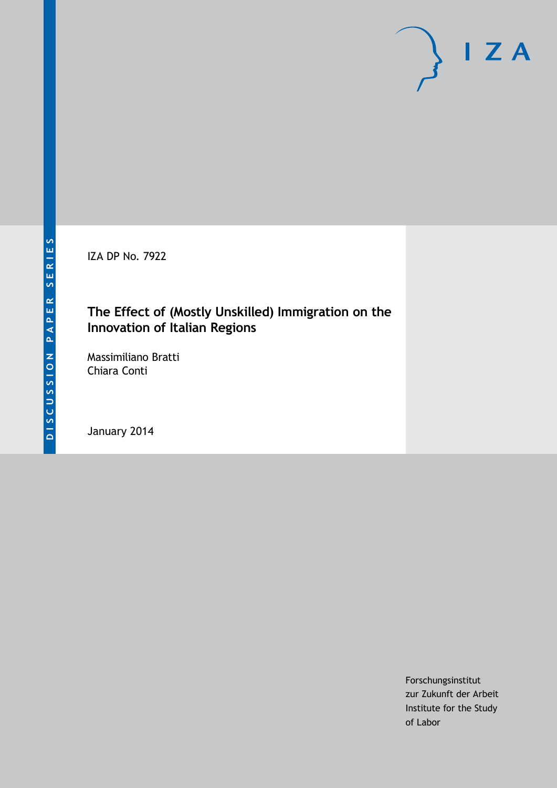IZA DP No. 7922

## **The Effect of (Mostly Unskilled) Immigration on the Innovation of Italian Regions**

Massimiliano Bratti Chiara Conti

January 2014

Forschungsinstitut zur Zukunft der Arbeit Institute for the Study of Labor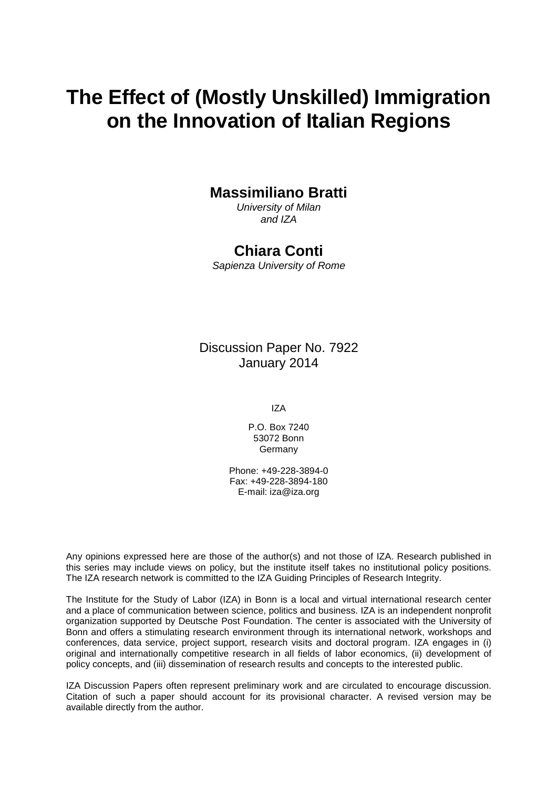# **The Effect of (Mostly Unskilled) Immigration on the Innovation of Italian Regions**

### **Massimiliano Bratti**

*University of Milan and IZA*

### **Chiara Conti**

*Sapienza University of Rome*

Discussion Paper No. 7922 January 2014

IZA

P.O. Box 7240 53072 Bonn Germany

Phone: +49-228-3894-0 Fax: +49-228-3894-180 E-mail: [iza@iza.org](mailto:iza@iza.org)

Any opinions expressed here are those of the author(s) and not those of IZA. Research published in this series may include views on policy, but the institute itself takes no institutional policy positions. The IZA research network is committed to the IZA Guiding Principles of Research Integrity.

The Institute for the Study of Labor (IZA) in Bonn is a local and virtual international research center and a place of communication between science, politics and business. IZA is an independent nonprofit organization supported by Deutsche Post Foundation. The center is associated with the University of Bonn and offers a stimulating research environment through its international network, workshops and conferences, data service, project support, research visits and doctoral program. IZA engages in (i) original and internationally competitive research in all fields of labor economics, (ii) development of policy concepts, and (iii) dissemination of research results and concepts to the interested public.

<span id="page-1-0"></span>IZA Discussion Papers often represent preliminary work and are circulated to encourage discussion. Citation of such a paper should account for its provisional character. A revised version may be available directly from the author.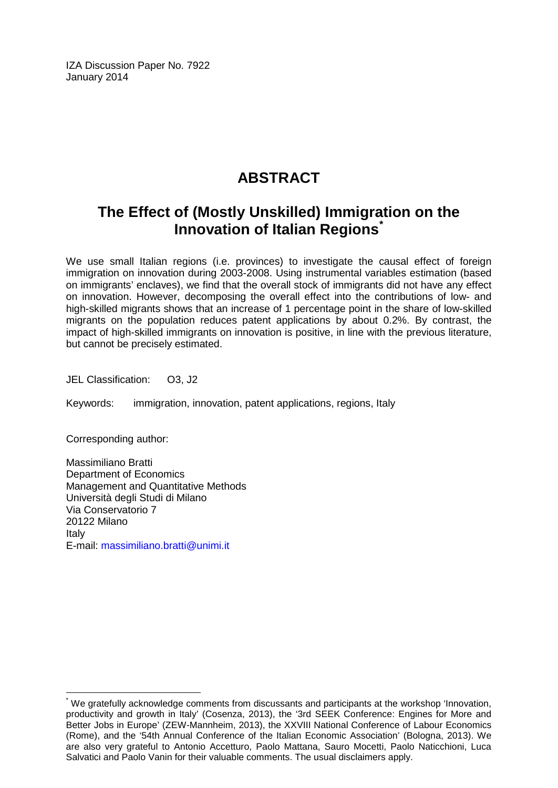IZA Discussion Paper No. 7922 January 2014

## **ABSTRACT**

## **The Effect of (Mostly Unskilled) Immigration on the Innovation of Italian Regions[\\*](#page-1-0)**

We use small Italian regions (i.e. provinces) to investigate the causal effect of foreign immigration on innovation during 2003-2008. Using instrumental variables estimation (based on immigrants' enclaves), we find that the overall stock of immigrants did not have any effect on innovation. However, decomposing the overall effect into the contributions of low- and high-skilled migrants shows that an increase of 1 percentage point in the share of low-skilled migrants on the population reduces patent applications by about 0.2%. By contrast, the impact of high-skilled immigrants on innovation is positive, in line with the previous literature, but cannot be precisely estimated.

JEL Classification: O3, J2

Keywords: immigration, innovation, patent applications, regions, Italy

Corresponding author:

Massimiliano Bratti Department of Economics Management and Quantitative Methods Università degli Studi di Milano Via Conservatorio 7 20122 Milano Italy E-mail: [massimiliano.bratti@unimi.it](mailto:massimiliano.bratti@unimi.it)

\* We gratefully acknowledge comments from discussants and participants at the workshop 'Innovation, productivity and growth in Italy' (Cosenza, 2013), the '3rd SEEK Conference: Engines for More and Better Jobs in Europe' (ZEW-Mannheim, 2013), the XXVIII National Conference of Labour Economics (Rome), and the '54th Annual Conference of the Italian Economic Association' (Bologna, 2013). We are also very grateful to Antonio Accetturo, Paolo Mattana, Sauro Mocetti, Paolo Naticchioni, Luca Salvatici and Paolo Vanin for their valuable comments. The usual disclaimers apply.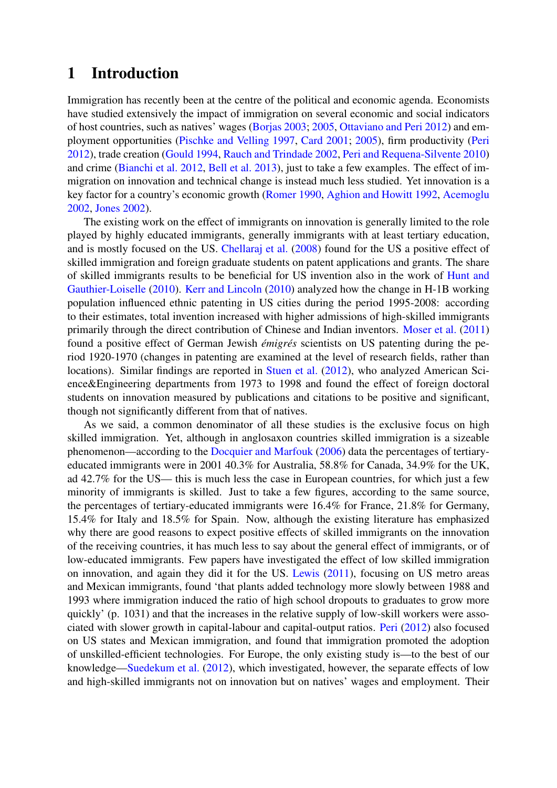## 1 Introduction

Immigration has recently been at the centre of the political and economic agenda. Economists have studied extensively the impact of immigration on several economic and social indicators of host countries, such as natives' wages [\(Borjas](#page-25-0) [2003;](#page-25-0) [2005,](#page-25-1) [Ottaviano and Peri](#page-27-0) [2012\)](#page-27-0) and employment opportunities [\(Pischke and Velling](#page-27-1) [1997,](#page-27-1) [Card](#page-25-2) [2001;](#page-25-2) [2005\)](#page-26-0), firm productivity [\(Peri](#page-27-2) [2012\)](#page-27-2), trade creation [\(Gould](#page-26-1) [1994,](#page-26-1) [Rauch and Trindade](#page-27-3) [2002,](#page-27-3) [Peri and Requena-Silvente](#page-27-4) [2010\)](#page-27-4) and crime [\(Bianchi et al.](#page-25-3) [2012,](#page-25-3) [Bell et al.](#page-25-4) [2013\)](#page-25-4), just to take a few examples. The effect of immigration on innovation and technical change is instead much less studied. Yet innovation is a key factor for a country's economic growth [\(Romer](#page-27-5) [1990,](#page-27-5) [Aghion and Howitt](#page-25-5) [1992,](#page-25-5) [Acemoglu](#page-25-6) [2002,](#page-25-6) [Jones](#page-26-2) [2002\)](#page-26-2).

The existing work on the effect of immigrants on innovation is generally limited to the role played by highly educated immigrants, generally immigrants with at least tertiary education, and is mostly focused on the US. [Chellaraj et al.](#page-26-3) [\(2008\)](#page-26-3) found for the US a positive effect of skilled immigration and foreign graduate students on patent applications and grants. The share of skilled immigrants results to be beneficial for US invention also in the work of [Hunt and](#page-26-4) [Gauthier-Loiselle](#page-26-4) [\(2010\)](#page-26-4). [Kerr and Lincoln](#page-27-6) [\(2010\)](#page-27-6) analyzed how the change in H-1B working population influenced ethnic patenting in US cities during the period 1995-2008: according to their estimates, total invention increased with higher admissions of high-skilled immigrants primarily through the direct contribution of Chinese and Indian inventors. [Moser et al.](#page-27-7) [\(2011\)](#page-27-7) found a positive effect of German Jewish *émigrés* scientists on US patenting during the period 1920-1970 (changes in patenting are examined at the level of research fields, rather than locations). Similar findings are reported in [Stuen et al.](#page-28-0) [\(2012\)](#page-28-0), who analyzed American Science&Engineering departments from 1973 to 1998 and found the effect of foreign doctoral students on innovation measured by publications and citations to be positive and significant, though not significantly different from that of natives.

As we said, a common denominator of all these studies is the exclusive focus on high skilled immigration. Yet, although in anglosaxon countries skilled immigration is a sizeable phenomenon—according to the [Docquier and Marfouk](#page-26-5) [\(2006\)](#page-26-5) data the percentages of tertiaryeducated immigrants were in 2001 40.3% for Australia, 58.8% for Canada, 34.9% for the UK, ad 42.7% for the US— this is much less the case in European countries, for which just a few minority of immigrants is skilled. Just to take a few figures, according to the same source, the percentages of tertiary-educated immigrants were 16.4% for France, 21.8% for Germany, 15.4% for Italy and 18.5% for Spain. Now, although the existing literature has emphasized why there are good reasons to expect positive effects of skilled immigrants on the innovation of the receiving countries, it has much less to say about the general effect of immigrants, or of low-educated immigrants. Few papers have investigated the effect of low skilled immigration on innovation, and again they did it for the US. [Lewis](#page-27-8) [\(2011\)](#page-27-8), focusing on US metro areas and Mexican immigrants, found 'that plants added technology more slowly between 1988 and 1993 where immigration induced the ratio of high school dropouts to graduates to grow more quickly' (p. 1031) and that the increases in the relative supply of low-skill workers were associated with slower growth in capital-labour and capital-output ratios. [Peri](#page-27-2) [\(2012\)](#page-27-2) also focused on US states and Mexican immigration, and found that immigration promoted the adoption of unskilled-efficient technologies. For Europe, the only existing study is—to the best of our knowledge[—Suedekum et al.](#page-28-1) [\(2012\)](#page-28-1), which investigated, however, the separate effects of low and high-skilled immigrants not on innovation but on natives' wages and employment. Their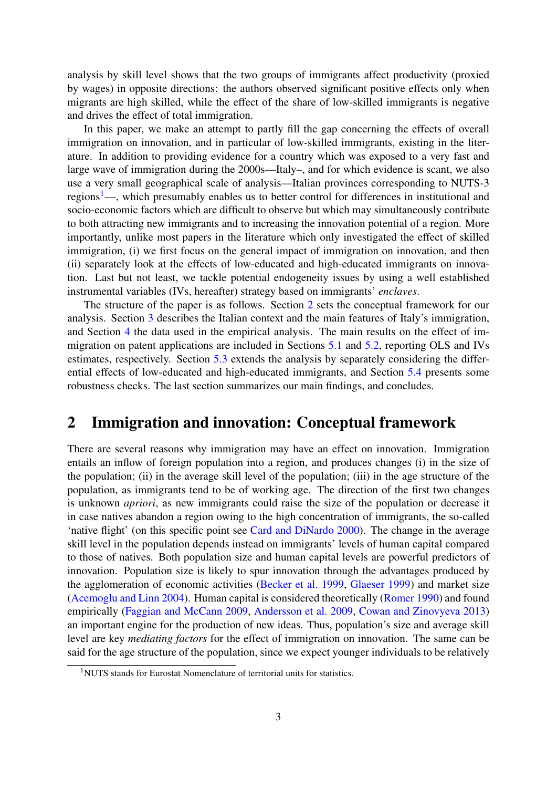analysis by skill level shows that the two groups of immigrants affect productivity (proxied by wages) in opposite directions: the authors observed significant positive effects only when migrants are high skilled, while the effect of the share of low-skilled immigrants is negative and drives the effect of total immigration.

In this paper, we make an attempt to partly fill the gap concerning the effects of overall immigration on innovation, and in particular of low-skilled immigrants, existing in the literature. In addition to providing evidence for a country which was exposed to a very fast and large wave of immigration during the 2000s—Italy–, and for which evidence is scant, we also use a very small geographical scale of analysis—Italian provinces corresponding to NUTS-3 regions<sup>[1](#page--1-0)</sup>—, which presumably enables us to better control for differences in institutional and socio-economic factors which are difficult to observe but which may simultaneously contribute to both attracting new immigrants and to increasing the innovation potential of a region. More importantly, unlike most papers in the literature which only investigated the effect of skilled immigration, (i) we first focus on the general impact of immigration on innovation, and then (ii) separately look at the effects of low-educated and high-educated immigrants on innovation. Last but not least, we tackle potential endogeneity issues by using a well established instrumental variables (IVs, hereafter) strategy based on immigrants' *enclaves*.

The structure of the paper is as follows. Section [2](#page-4-0) sets the conceptual framework for our analysis. Section [3](#page-7-0) describes the Italian context and the main features of Italy's immigration, and Section [4](#page-9-0) the data used in the empirical analysis. The main results on the effect of immigration on patent applications are included in Sections [5.1](#page-11-0) and [5.2,](#page-14-0) reporting OLS and IVs estimates, respectively. Section [5.3](#page-18-0) extends the analysis by separately considering the differential effects of low-educated and high-educated immigrants, and Section [5.4](#page-23-0) presents some robustness checks. The last section summarizes our main findings, and concludes.

### <span id="page-4-0"></span>2 Immigration and innovation: Conceptual framework

There are several reasons why immigration may have an effect on innovation. Immigration entails an inflow of foreign population into a region, and produces changes (i) in the size of the population; (ii) in the average skill level of the population; (iii) in the age structure of the population, as immigrants tend to be of working age. The direction of the first two changes is unknown *apriori*, as new immigrants could raise the size of the population or decrease it in case natives abandon a region owing to the high concentration of immigrants, the so-called 'native flight' (on this specific point see [Card and DiNardo](#page-26-6) [2000\)](#page-26-6). The change in the average skill level in the population depends instead on immigrants' levels of human capital compared to those of natives. Both population size and human capital levels are powerful predictors of innovation. Population size is likely to spur innovation through the advantages produced by the agglomeration of economic activities [\(Becker et al.](#page-25-7) [1999,](#page-25-7) [Glaeser](#page-26-7) [1999\)](#page-26-7) and market size [\(Acemoglu and Linn](#page-25-8) [2004\)](#page-25-8). Human capital is considered theoretically [\(Romer](#page-27-5) [1990\)](#page-27-5) and found empirically [\(Faggian and McCann](#page-26-8) [2009,](#page-26-8) [Andersson et al.](#page-25-9) [2009,](#page-25-9) [Cowan and Zinovyeva](#page-26-9) [2013\)](#page-26-9) an important engine for the production of new ideas. Thus, population's size and average skill level are key *mediating factors* for the effect of immigration on innovation. The same can be said for the age structure of the population, since we expect younger individuals to be relatively

<sup>&</sup>lt;sup>1</sup>NUTS stands for Eurostat Nomenclature of territorial units for statistics.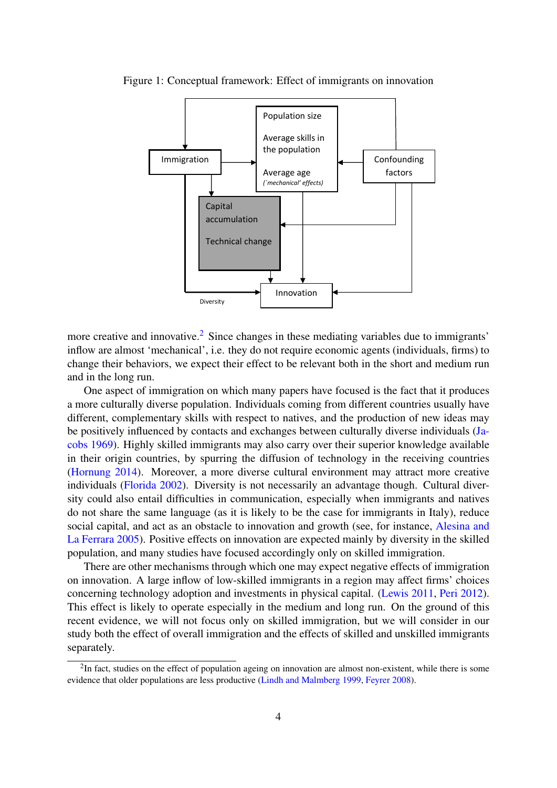<span id="page-5-0"></span>

Figure 1: Conceptual framework: Effect of immigrants on innovation

more creative and innovative.<sup>[2](#page--1-0)</sup> Since changes in these mediating variables due to immigrants' inflow are almost 'mechanical', i.e. they do not require economic agents (individuals, firms) to change their behaviors, we expect their effect to be relevant both in the short and medium run and in the long run.

One aspect of immigration on which many papers have focused is the fact that it produces a more culturally diverse population. Individuals coming from different countries usually have different, complementary skills with respect to natives, and the production of new ideas may be positively influenced by contacts and exchanges between culturally diverse individuals [\(Ja](#page-26-10)[cobs](#page-26-10) [1969\)](#page-26-10). Highly skilled immigrants may also carry over their superior knowledge available in their origin countries, by spurring the diffusion of technology in the receiving countries [\(Hornung](#page-26-11) [2014\)](#page-26-11). Moreover, a more diverse cultural environment may attract more creative individuals [\(Florida](#page-26-12) [2002\)](#page-26-12). Diversity is not necessarily an advantage though. Cultural diversity could also entail difficulties in communication, especially when immigrants and natives do not share the same language (as it is likely to be the case for immigrants in Italy), reduce social capital, and act as an obstacle to innovation and growth (see, for instance, [Alesina and](#page-25-10) [La Ferrara](#page-25-10) [2005\)](#page-25-10). Positive effects on innovation are expected mainly by diversity in the skilled population, and many studies have focused accordingly only on skilled immigration.

There are other mechanisms through which one may expect negative effects of immigration on innovation. A large inflow of low-skilled immigrants in a region may affect firms' choices concerning technology adoption and investments in physical capital. [\(Lewis](#page-27-8) [2011,](#page-27-8) [Peri](#page-27-2) [2012\)](#page-27-2). This effect is likely to operate especially in the medium and long run. On the ground of this recent evidence, we will not focus only on skilled immigration, but we will consider in our study both the effect of overall immigration and the effects of skilled and unskilled immigrants separately.

 $2$ In fact, studies on the effect of population ageing on innovation are almost non-existent, while there is some evidence that older populations are less productive [\(Lindh and Malmberg](#page-27-9) [1999,](#page-27-9) [Feyrer](#page-26-13) [2008\)](#page-26-13).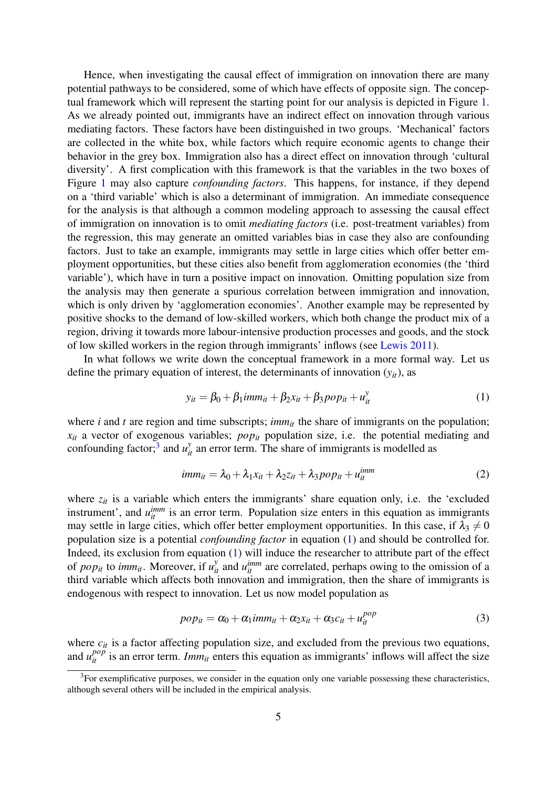Hence, when investigating the causal effect of immigration on innovation there are many potential pathways to be considered, some of which have effects of opposite sign. The conceptual framework which will represent the starting point for our analysis is depicted in Figure [1.](#page-5-0) As we already pointed out, immigrants have an indirect effect on innovation through various mediating factors. These factors have been distinguished in two groups. 'Mechanical' factors are collected in the white box, while factors which require economic agents to change their behavior in the grey box. Immigration also has a direct effect on innovation through 'cultural diversity'. A first complication with this framework is that the variables in the two boxes of Figure [1](#page-5-0) may also capture *confounding factors*. This happens, for instance, if they depend on a 'third variable' which is also a determinant of immigration. An immediate consequence for the analysis is that although a common modeling approach to assessing the causal effect of immigration on innovation is to omit *mediating factors* (i.e. post-treatment variables) from the regression, this may generate an omitted variables bias in case they also are confounding factors. Just to take an example, immigrants may settle in large cities which offer better employment opportunities, but these cities also benefit from agglomeration economies (the 'third variable'), which have in turn a positive impact on innovation. Omitting population size from the analysis may then generate a spurious correlation between immigration and innovation, which is only driven by 'agglomeration economies'. Another example may be represented by positive shocks to the demand of low-skilled workers, which both change the product mix of a region, driving it towards more labour-intensive production processes and goods, and the stock of low skilled workers in the region through immigrants' inflows (see [Lewis](#page-27-8) [2011\)](#page-27-8).

In what follows we write down the conceptual framework in a more formal way. Let us define the primary equation of interest, the determinants of innovation  $(y_{it})$ , as

<span id="page-6-0"></span>
$$
y_{it} = \beta_0 + \beta_1 \text{imm}_{it} + \beta_2 x_{it} + \beta_3 \text{pop}_{it} + u_{it}^y \tag{1}
$$

where *i* and *t* are region and time subscripts;  $imm<sub>it</sub>$  the share of immigrants on the population; *xit* a vector of exogenous variables; *popit* population size, i.e. the potential mediating and confounding factor;<sup>[3](#page--1-0)</sup> and  $u_{it}^y$  an error term. The share of immigrants is modelled as

$$
imm_{it} = \lambda_0 + \lambda_1 x_{it} + \lambda_2 z_{it} + \lambda_3 pop_{it} + u_{it}^{imm}
$$
\n(2)

where  $z_{it}$  is a variable which enters the immigrants' share equation only, i.e. the 'excluded instrument', and  $u_{it}^{imm}$  is an error term. Population size enters in this equation as immigrants may settle in large cities, which offer better employment opportunities. In this case, if  $\lambda_3 \neq 0$ population size is a potential *confounding factor* in equation [\(1\)](#page-6-0) and should be controlled for. Indeed, its exclusion from equation [\(1\)](#page-6-0) will induce the researcher to attribute part of the effect of *pop<sub>it</sub>* to *imm<sub>it</sub>*. Moreover, if  $u_{it}^y$  and  $u_{it}^{imm}$  are correlated, perhaps owing to the omission of a third variable which affects both innovation and immigration, then the share of immigrants is endogenous with respect to innovation. Let us now model population as

$$
pop_{it} = \alpha_0 + \alpha_1 \text{imm}_{it} + \alpha_2 x_{it} + \alpha_3 c_{it} + u_{it}^{pop}
$$
\n(3)

where  $c_{it}$  is a factor affecting population size, and excluded from the previous two equations, and  $u_i^{pop}$  is an error term. *Imm<sub>it</sub>* enters this equation as immigrants' inflows will affect the size

 ${}^{3}$ For exemplificative purposes, we consider in the equation only one variable possessing these characteristics, although several others will be included in the empirical analysis.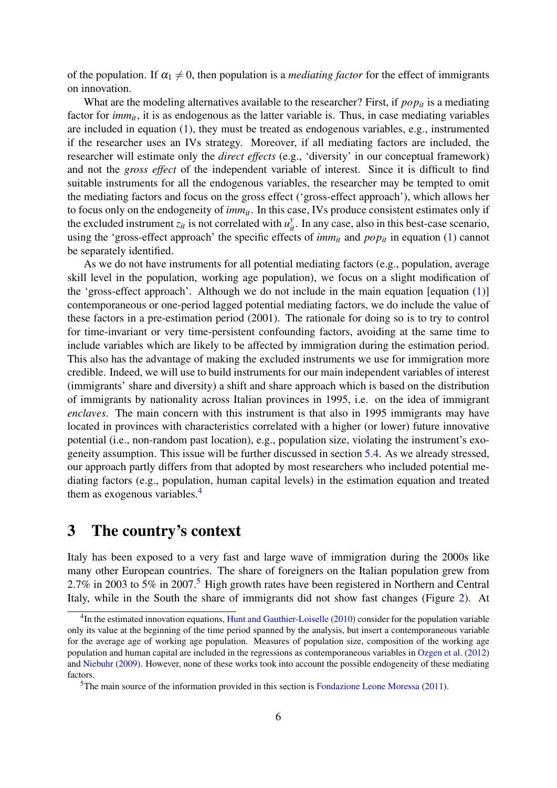of the population. If  $\alpha_1 \neq 0$ , then population is a *mediating factor* for the effect of immigrants on innovation.

What are the modeling alternatives available to the researcher? First, if  $pop_{it}$  is a mediating factor for *imm<sub>it</sub>*, it is as endogenous as the latter variable is. Thus, in case mediating variables are included in equation [\(1\)](#page-6-0), they must be treated as endogenous variables, e.g., instrumented if the researcher uses an IVs strategy. Moreover, if all mediating factors are included, the researcher will estimate only the *direct effects* (e.g., 'diversity' in our conceptual framework) and not the *gross effect* of the independent variable of interest. Since it is difficult to find suitable instruments for all the endogenous variables, the researcher may be tempted to omit the mediating factors and focus on the gross effect ('gross-effect approach'), which allows her to focus only on the endogeneity of *immit*. In this case, IVs produce consistent estimates only if the excluded instrument  $z_{it}$  is not correlated with  $u_{it}^y$ . In any case, also in this best-case scenario, using the 'gross-effect approach' the specific effects of  $imm<sub>it</sub>$  and  $pop<sub>it</sub>$  in equation [\(1\)](#page-6-0) cannot be separately identified.

As we do not have instruments for all potential mediating factors (e.g., population, average skill level in the population, working age population), we focus on a slight modification of the 'gross-effect approach'. Although we do not include in the main equation [equation [\(1\)](#page-6-0)] contemporaneous or one-period lagged potential mediating factors, we do include the value of these factors in a pre-estimation period (2001). The rationale for doing so is to try to control for time-invariant or very time-persistent confounding factors, avoiding at the same time to include variables which are likely to be affected by immigration during the estimation period. This also has the advantage of making the excluded instruments we use for immigration more credible. Indeed, we will use to build instruments for our main independent variables of interest (immigrants' share and diversity) a shift and share approach which is based on the distribution of immigrants by nationality across Italian provinces in 1995, i.e. on the idea of immigrant *enclaves*. The main concern with this instrument is that also in 1995 immigrants may have located in provinces with characteristics correlated with a higher (or lower) future innovative potential (i.e., non-random past location), e.g., population size, violating the instrument's exogeneity assumption. This issue will be further discussed in section [5.4.](#page-23-0) As we already stressed, our approach partly differs from that adopted by most researchers who included potential mediating factors (e.g., population, human capital levels) in the estimation equation and treated them as exogenous variables.<sup>[4](#page--1-0)</sup>

## <span id="page-7-0"></span>3 The country's context

Italy has been exposed to a very fast and large wave of immigration during the 2000s like many other European countries. The share of foreigners on the Italian population grew from 2.7% in 2003 to [5](#page--1-0)% in 2007.<sup>5</sup> High growth rates have been registered in Northern and Central Italy, while in the South the share of immigrants did not show fast changes (Figure [2\)](#page-8-0). At

<sup>&</sup>lt;sup>4</sup>In the estimated innovation equations, [Hunt and Gauthier-Loiselle](#page-26-4) [\(2010\)](#page-26-4) consider for the population variable only its value at the beginning of the time period spanned by the analysis, but insert a contemporaneous variable for the average age of working age population. Measures of population size, composition of the working age population and human capital are included in the regressions as contemporaneous variables in [Ozgen et al.](#page-27-10) [\(2012\)](#page-27-10) and [Niebuhr](#page-27-11) [\(2009\)](#page-27-11). However, none of these works took into account the possible endogeneity of these mediating factors.

<sup>&</sup>lt;sup>5</sup>The main source of the information provided in this section is [Fondazione Leone Moressa](#page-26-14) [\(2011\)](#page-26-14).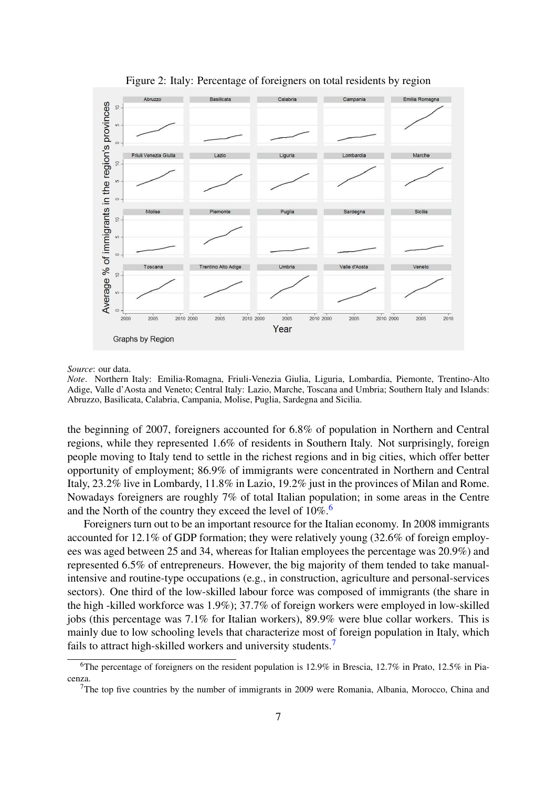

<span id="page-8-0"></span>

#### *Source*: our data.

*Note*. Northern Italy: Emilia-Romagna, Friuli-Venezia Giulia, Liguria, Lombardia, Piemonte, Trentino-Alto Adige, Valle d'Aosta and Veneto; Central Italy: Lazio, Marche, Toscana and Umbria; Southern Italy and Islands: Abruzzo, Basilicata, Calabria, Campania, Molise, Puglia, Sardegna and Sicilia.

the beginning of 2007, foreigners accounted for 6.8% of population in Northern and Central regions, while they represented 1.6% of residents in Southern Italy. Not surprisingly, foreign people moving to Italy tend to settle in the richest regions and in big cities, which offer better opportunity of employment; 86.9% of immigrants were concentrated in Northern and Central Italy, 23.2% live in Lombardy, 11.8% in Lazio, 19.2% just in the provinces of Milan and Rome. Nowadays foreigners are roughly 7% of total Italian population; in some areas in the Centre and the North of the country they exceed the level of  $10\%$ .<sup>[6](#page--1-0)</sup>

Foreigners turn out to be an important resource for the Italian economy. In 2008 immigrants accounted for 12.1% of GDP formation; they were relatively young (32.6% of foreign employees was aged between 25 and 34, whereas for Italian employees the percentage was 20.9%) and represented 6.5% of entrepreneurs. However, the big majority of them tended to take manualintensive and routine-type occupations (e.g., in construction, agriculture and personal-services sectors). One third of the low-skilled labour force was composed of immigrants (the share in the high -killed workforce was 1.9%); 37.7% of foreign workers were employed in low-skilled jobs (this percentage was 7.1% for Italian workers), 89.9% were blue collar workers. This is mainly due to low schooling levels that characterize most of foreign population in Italy, which fails to attract high-skilled workers and university students.<sup>[7](#page--1-0)</sup>

<sup>&</sup>lt;sup>6</sup>The percentage of foreigners on the resident population is 12.9% in Brescia, 12.7% in Prato, 12.5% in Piacenza.

<sup>&</sup>lt;sup>7</sup>The top five countries by the number of immigrants in 2009 were Romania, Albania, Morocco, China and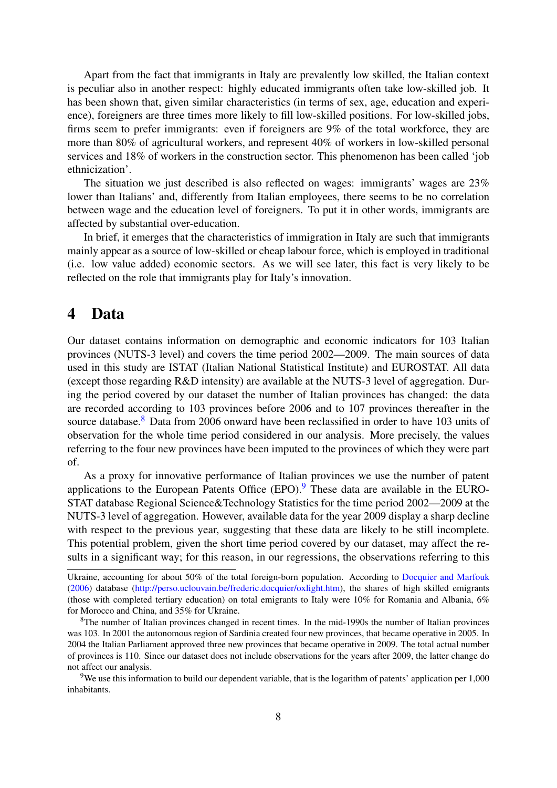Apart from the fact that immigrants in Italy are prevalently low skilled, the Italian context is peculiar also in another respect: highly educated immigrants often take low-skilled job. It has been shown that, given similar characteristics (in terms of sex, age, education and experience), foreigners are three times more likely to fill low-skilled positions. For low-skilled jobs, firms seem to prefer immigrants: even if foreigners are 9% of the total workforce, they are more than 80% of agricultural workers, and represent 40% of workers in low-skilled personal services and 18% of workers in the construction sector. This phenomenon has been called 'job ethnicization'.

The situation we just described is also reflected on wages: immigrants' wages are 23% lower than Italians' and, differently from Italian employees, there seems to be no correlation between wage and the education level of foreigners. To put it in other words, immigrants are affected by substantial over-education.

In brief, it emerges that the characteristics of immigration in Italy are such that immigrants mainly appear as a source of low-skilled or cheap labour force, which is employed in traditional (i.e. low value added) economic sectors. As we will see later, this fact is very likely to be reflected on the role that immigrants play for Italy's innovation.

### <span id="page-9-0"></span>4 Data

Our dataset contains information on demographic and economic indicators for 103 Italian provinces (NUTS-3 level) and covers the time period 2002—2009. The main sources of data used in this study are ISTAT (Italian National Statistical Institute) and EUROSTAT. All data (except those regarding R&D intensity) are available at the NUTS-3 level of aggregation. During the period covered by our dataset the number of Italian provinces has changed: the data are recorded according to 103 provinces before 2006 and to 107 provinces thereafter in the source database.<sup>[8](#page--1-0)</sup> Data from 2006 onward have been reclassified in order to have 103 units of observation for the whole time period considered in our analysis. More precisely, the values referring to the four new provinces have been imputed to the provinces of which they were part of.

As a proxy for innovative performance of Italian provinces we use the number of patent applications to the European Patents Office  $EPO$ .<sup>[9](#page--1-0)</sup> These data are available in the EURO-STAT database Regional Science&Technology Statistics for the time period 2002—2009 at the NUTS-3 level of aggregation. However, available data for the year 2009 display a sharp decline with respect to the previous year, suggesting that these data are likely to be still incomplete. This potential problem, given the short time period covered by our dataset, may affect the results in a significant way; for this reason, in our regressions, the observations referring to this

Ukraine, accounting for about 50% of the total foreign-born population. According to [Docquier and Marfouk](#page-26-5) [\(2006\)](#page-26-5) database [\(http://perso.uclouvain.be/frederic.docquier/oxlight.htm\)](http://perso.uclouvain.be/frederic.docquier/oxlight.htm), the shares of high skilled emigrants (those with completed tertiary education) on total emigrants to Italy were 10% for Romania and Albania, 6% for Morocco and China, and 35% for Ukraine.

<sup>&</sup>lt;sup>8</sup>The number of Italian provinces changed in recent times. In the mid-1990s the number of Italian provinces was 103. In 2001 the autonomous region of Sardinia created four new provinces, that became operative in 2005. In 2004 the Italian Parliament approved three new provinces that became operative in 2009. The total actual number of provinces is 110. Since our dataset does not include observations for the years after 2009, the latter change do not affect our analysis.

<sup>9</sup>We use this information to build our dependent variable, that is the logarithm of patents' application per 1,000 inhabitants.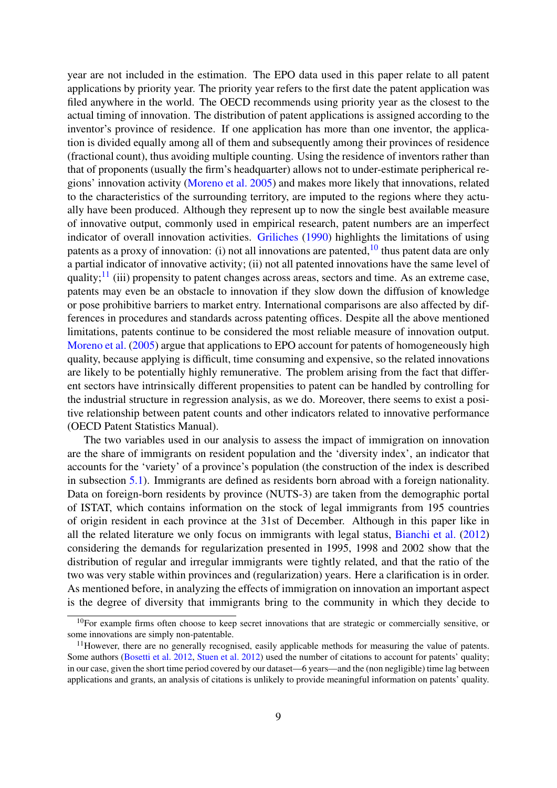year are not included in the estimation. The EPO data used in this paper relate to all patent applications by priority year. The priority year refers to the first date the patent application was filed anywhere in the world. The OECD recommends using priority year as the closest to the actual timing of innovation. The distribution of patent applications is assigned according to the inventor's province of residence. If one application has more than one inventor, the application is divided equally among all of them and subsequently among their provinces of residence (fractional count), thus avoiding multiple counting. Using the residence of inventors rather than that of proponents (usually the firm's headquarter) allows not to under-estimate peripherical regions' innovation activity [\(Moreno et al.](#page-27-12) [2005\)](#page-27-12) and makes more likely that innovations, related to the characteristics of the surrounding territory, are imputed to the regions where they actually have been produced. Although they represent up to now the single best available measure of innovative output, commonly used in empirical research, patent numbers are an imperfect indicator of overall innovation activities. [Griliches](#page-26-15) [\(1990\)](#page-26-15) highlights the limitations of using patents as a proxy of innovation: (i) not all innovations are patented,  $10$  thus patent data are only a partial indicator of innovative activity; (ii) not all patented innovations have the same level of quality; $^{11}$  $^{11}$  $^{11}$  (iii) propensity to patent changes across areas, sectors and time. As an extreme case, patents may even be an obstacle to innovation if they slow down the diffusion of knowledge or pose prohibitive barriers to market entry. International comparisons are also affected by differences in procedures and standards across patenting offices. Despite all the above mentioned limitations, patents continue to be considered the most reliable measure of innovation output. [Moreno et al.](#page-27-12) [\(2005\)](#page-27-12) argue that applications to EPO account for patents of homogeneously high quality, because applying is difficult, time consuming and expensive, so the related innovations are likely to be potentially highly remunerative. The problem arising from the fact that different sectors have intrinsically different propensities to patent can be handled by controlling for the industrial structure in regression analysis, as we do. Moreover, there seems to exist a positive relationship between patent counts and other indicators related to innovative performance (OECD Patent Statistics Manual).

The two variables used in our analysis to assess the impact of immigration on innovation are the share of immigrants on resident population and the 'diversity index', an indicator that accounts for the 'variety' of a province's population (the construction of the index is described in subsection [5.1\)](#page-11-0). Immigrants are defined as residents born abroad with a foreign nationality. Data on foreign-born residents by province (NUTS-3) are taken from the demographic portal of ISTAT, which contains information on the stock of legal immigrants from 195 countries of origin resident in each province at the 31st of December. Although in this paper like in all the related literature we only focus on immigrants with legal status, [Bianchi et al.](#page-25-3) [\(2012\)](#page-25-3) considering the demands for regularization presented in 1995, 1998 and 2002 show that the distribution of regular and irregular immigrants were tightly related, and that the ratio of the two was very stable within provinces and (regularization) years. Here a clarification is in order. As mentioned before, in analyzing the effects of immigration on innovation an important aspect is the degree of diversity that immigrants bring to the community in which they decide to

 $10$ For example firms often choose to keep secret innovations that are strategic or commercially sensitive, or some innovations are simply non-patentable.

<sup>&</sup>lt;sup>11</sup>However, there are no generally recognised, easily applicable methods for measuring the value of patents. Some authors [\(Bosetti et al.](#page-25-11) [2012,](#page-25-11) [Stuen et al.](#page-28-0) [2012\)](#page-28-0) used the number of citations to account for patents' quality; in our case, given the short time period covered by our dataset—6 years—and the (non negligible) time lag between applications and grants, an analysis of citations is unlikely to provide meaningful information on patents' quality.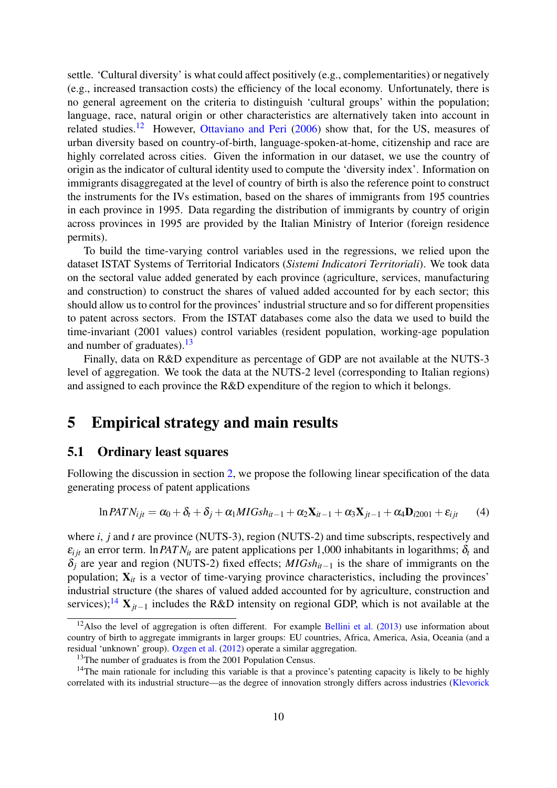settle. 'Cultural diversity' is what could affect positively (e.g., complementarities) or negatively (e.g., increased transaction costs) the efficiency of the local economy. Unfortunately, there is no general agreement on the criteria to distinguish 'cultural groups' within the population; language, race, natural origin or other characteristics are alternatively taken into account in related studies.<sup>[12](#page--1-0)</sup> However, [Ottaviano and Peri](#page-27-13)  $(2006)$  show that, for the US, measures of urban diversity based on country-of-birth, language-spoken-at-home, citizenship and race are highly correlated across cities. Given the information in our dataset, we use the country of origin as the indicator of cultural identity used to compute the 'diversity index'. Information on immigrants disaggregated at the level of country of birth is also the reference point to construct the instruments for the IVs estimation, based on the shares of immigrants from 195 countries in each province in 1995. Data regarding the distribution of immigrants by country of origin across provinces in 1995 are provided by the Italian Ministry of Interior (foreign residence permits).

To build the time-varying control variables used in the regressions, we relied upon the dataset ISTAT Systems of Territorial Indicators (*Sistemi Indicatori Territoriali*). We took data on the sectoral value added generated by each province (agriculture, services, manufacturing and construction) to construct the shares of valued added accounted for by each sector; this should allow us to control for the provinces' industrial structure and so for different propensities to patent across sectors. From the ISTAT databases come also the data we used to build the time-invariant (2001 values) control variables (resident population, working-age population and number of graduates).  $13$ 

Finally, data on R&D expenditure as percentage of GDP are not available at the NUTS-3 level of aggregation. We took the data at the NUTS-2 level (corresponding to Italian regions) and assigned to each province the R&D expenditure of the region to which it belongs.

### 5 Empirical strategy and main results

### <span id="page-11-0"></span>5.1 Ordinary least squares

Following the discussion in section [2,](#page-4-0) we propose the following linear specification of the data generating process of patent applications

<span id="page-11-1"></span>
$$
\ln PATN_{ijt} = \alpha_0 + \delta_t + \delta_j + \alpha_1 MIGs h_{it-1} + \alpha_2 \mathbf{X}_{it-1} + \alpha_3 \mathbf{X}_{jt-1} + \alpha_4 \mathbf{D}_{i2001} + \varepsilon_{ijt}
$$
 (4)

where *i*, *j* and *t* are province (NUTS-3), region (NUTS-2) and time subscripts, respectively and  $\varepsilon_{i}$  an error term. In *PATN*<sub>it</sub> are patent applications per 1,000 inhabitants in logarithms;  $\delta_t$  and δ*<sup>j</sup>* are year and region (NUTS-2) fixed effects; *MIGshit*−<sup>1</sup> is the share of immigrants on the population;  $X_{it}$  is a vector of time-varying province characteristics, including the provinces' industrial structure (the shares of valued added accounted for by agriculture, construction and services);<sup>[14](#page--1-0)</sup> **X**<sub>*jt*−1</sub> includes the R&D intensity on regional GDP, which is not available at the

 $12$ Also the level of aggregation is often different. For example [Bellini et al.](#page-25-12) [\(2013\)](#page-25-12) use information about country of birth to aggregate immigrants in larger groups: EU countries, Africa, America, Asia, Oceania (and a residual 'unknown' group). [Ozgen et al.](#page-27-10) [\(2012\)](#page-27-10) operate a similar aggregation.

<sup>&</sup>lt;sup>13</sup>The number of graduates is from the 2001 Population Census.

<sup>&</sup>lt;sup>14</sup>The main rationale for including this variable is that a province's patenting capacity is likely to be highly correlated with its industrial structure—as the degree of innovation strongly differs across industries [\(Klevorick](#page-27-14)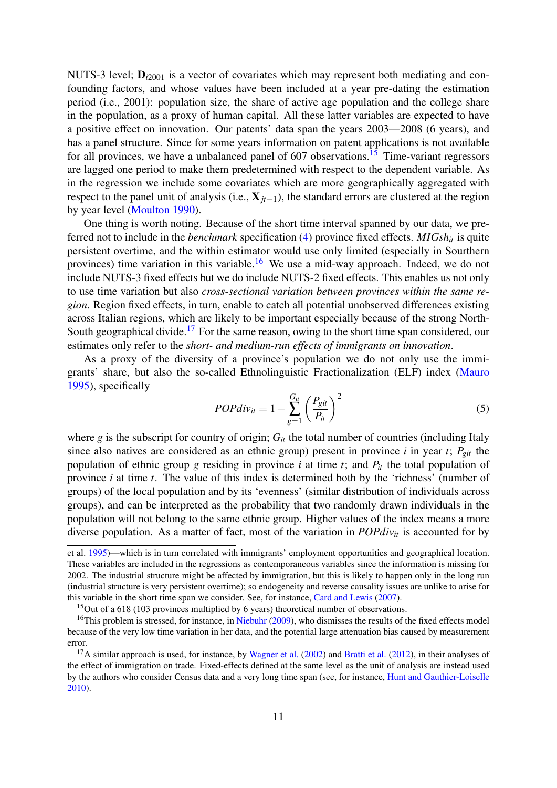NUTS-3 level;  $D_{i2001}$  [is a vector of covariates which may represent both mediating and con](#page-27-14)[founding factors, and whose values have been included at a year pre-dating the estimation](#page-27-14) [period \(i.e., 2001\): population size, the share of active age population and the college share](#page-27-14) [in the population, as a proxy of human capital. All these latter variables are expected to have](#page-27-14) [a positive effect on innovation. Our patents' data span the years 2003—2008 \(6 years\), and](#page-27-14) [has a panel structure. Since for some years information on patent applications is not available](#page-27-14) for all provinces, we have a unbalanced panel of  $607$  observations.<sup>[15](#page--1-0)</sup> Time-variant regressors [are lagged one period to make them predetermined with respect to the dependent variable. As](#page-27-14) [in the regression we include some covariates which are more geographically aggregated with](#page-27-14) respect to the panel unit of analysis (i.e., X*jt*−1[\), the standard errors are clustered at the region](#page-27-14) [by year level \(Moulton](#page-27-14) [1990\)](#page-27-15).

[One thing is worth noting. Because of the short time interval spanned by our data, we pre](#page-27-14)ferred not to include in the *benchmark* [specification \(4\) province fixed effects.](#page-27-14) *MIGshit* is quite [persistent overtime, and the within estimator would use only limited \(especially in Sourthern](#page-27-14) provinces) time variation in this variable.<sup>[16](#page--1-0)</sup> [We use a mid-way approach. Indeed, we do not](#page-27-14) [include NUTS-3 fixed effects but we do include NUTS-2 fixed effects. This enables us not only](#page-27-14) to use time variation but also *[cross-sectional variation between provinces within the same re](#page-27-14)gion*[. Region fixed effects, in turn, enable to catch all potential unobserved differences existing](#page-27-14) [across Italian regions, which are likely to be important especially because of the strong North-](#page-27-14)South geographical divide.<sup>[17](#page--1-0)</sup> [For the same reason, owing to the short time span considered, our](#page-27-14) estimates only refer to the *[short- and medium-run effects of immigrants on innovation](#page-27-14)*.

[As a proxy of the diversity of a province's population we do not only use the immi](#page-27-14)[grants' share, but also the so-called Ethnolinguistic Fractionalization \(ELF\) index \(Mauro](#page-27-14) [1995\), specifically](#page-27-14)

$$
POPdiv_{it} = 1 - \sum_{g=1}^{G_{it}} \left(\frac{P_{git}}{P_{it}}\right)^2 \tag{5}
$$

where  $g$  is the subscript for country of origin;  $G<sub>it</sub>$  [the total number of countries \(including Italy](#page-27-14) [since also natives are considered as an ethnic group\) present in province](#page-27-14) *i* in year *t*;  $P_{git}$  the [population of ethnic group](#page-27-14) *g* residing in province *i* at time *t*; and  $P_{it}$  the total population of province *i* at time *t*[. The value of this index is determined both by the 'richness' \(number of](#page-27-14) [groups\) of the local population and by its 'evenness' \(similar distribution of individuals across](#page-27-14) [groups\), and can be interpreted as the probability that two randomly drawn individuals in the](#page-27-14) [population will not belong to the same ethnic group. Higher values of the index means a more](#page-27-14) [diverse population. As a matter of fact, most of the variation in](#page-27-14) *POPdiv<sub>it</sub>* is accounted for by

[et al.](#page-27-14) [1995\)](#page-27-14)—which is in turn correlated with immigrants' employment opportunities and geographical location. These variables are included in the regressions as contemporaneous variables since the information is missing for 2002. The industrial structure might be affected by immigration, but this is likely to happen only in the long run (industrial structure is very persistent overtime); so endogeneity and reverse causality issues are unlike to arise for this variable in the short time span we consider. See, for instance, [Card and Lewis](#page-26-16) [\(2007\)](#page-26-16).

<sup>&</sup>lt;sup>15</sup>Out of a 618 (103 provinces multiplied by 6 years) theoretical number of observations.

 $16$ This problem is stressed, for instance, in [Niebuhr](#page-27-11) [\(2009\)](#page-27-11), who dismisses the results of the fixed effects model because of the very low time variation in her data, and the potential large attenuation bias caused by measurement error.

 $17A$  similar approach is used, for instance, by [Wagner et al.](#page-28-2) [\(2002\)](#page-28-2) and [Bratti et al.](#page-25-13) [\(2012\)](#page-25-13), in their analyses of the effect of immigration on trade. Fixed-effects defined at the same level as the unit of analysis are instead used by the authors who consider Census data and a very long time span (see, for instance, [Hunt and Gauthier-Loiselle](#page-26-4) [2010\)](#page-26-4).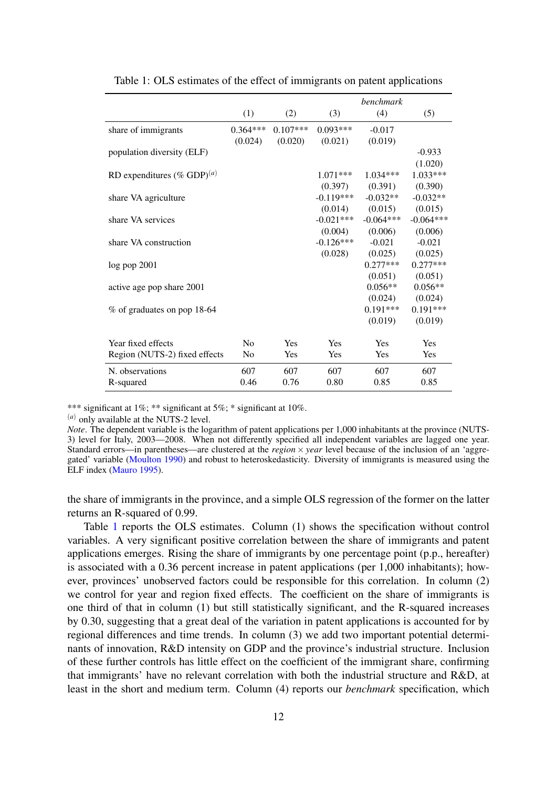|                                        |                |            |             | <i>benchmark</i> |             |
|----------------------------------------|----------------|------------|-------------|------------------|-------------|
|                                        | (1)            | (2)        | (3)         | (4)              | (5)         |
| share of immigrants                    | $0.364***$     | $0.107***$ | $0.093***$  | $-0.017$         |             |
|                                        | (0.024)        | (0.020)    | (0.021)     | (0.019)          |             |
| population diversity (ELF)             |                |            |             |                  | $-0.933$    |
|                                        |                |            |             |                  | (1.020)     |
| RD expenditures (% GDP) <sup>(a)</sup> |                |            | $1.071***$  | $1.034***$       | $1.033***$  |
|                                        |                |            | (0.397)     | (0.391)          | (0.390)     |
| share VA agriculture                   |                |            | $-0.119***$ | $-0.032**$       | $-0.032**$  |
|                                        |                |            | (0.014)     | (0.015)          | (0.015)     |
| share VA services                      |                |            | $-0.021***$ | $-0.064***$      | $-0.064***$ |
|                                        |                |            | (0.004)     | (0.006)          | (0.006)     |
| share VA construction                  |                |            | $-0.126***$ | $-0.021$         | $-0.021$    |
|                                        |                |            | (0.028)     | (0.025)          | (0.025)     |
| log pop 2001                           |                |            |             | $0.277***$       | $0.277***$  |
|                                        |                |            |             | (0.051)          | (0.051)     |
| active age pop share 2001              |                |            |             | $0.056**$        | $0.056**$   |
|                                        |                |            |             | (0.024)          | (0.024)     |
| % of graduates on pop 18-64            |                |            |             | $0.191***$       | $0.191***$  |
|                                        |                |            |             | (0.019)          | (0.019)     |
| Year fixed effects                     | N <sub>0</sub> | Yes        | Yes         | Yes              | Yes         |
| Region (NUTS-2) fixed effects          | N <sub>0</sub> | Yes        | <b>Yes</b>  | <b>Yes</b>       | Yes         |
| N. observations                        | 607            | 607        | 607         | 607              | 607         |
| R-squared                              | 0.46           | 0.76       | 0.80        | 0.85             | 0.85        |

<span id="page-13-0"></span>Table 1: OLS estimates of the effect of immigrants on patent applications

\*\*\* significant at 1%; \*\* significant at 5%; \* significant at 10%.

(*a*) only available at the NUTS-2 level.

*Note*. The dependent variable is the logarithm of patent applications per 1,000 inhabitants at the province (NUTS-3) level for Italy, 2003—2008. When not differently specified all independent variables are lagged one year. Standard errors—in parentheses—are clustered at the *region* × *year* level because of the inclusion of an 'aggregated' variable [\(Moulton](#page-27-15) [1990\)](#page-27-15) and robust to heteroskedasticity. Diversity of immigrants is measured using the ELF index [\(Mauro](#page-27-16) [1995\)](#page-27-16).

the share of immigrants in the province, and a simple OLS regression of the former on the latter returns an R-squared of 0.99.

Table [1](#page-13-0) reports the OLS estimates. Column (1) shows the specification without control variables. A very significant positive correlation between the share of immigrants and patent applications emerges. Rising the share of immigrants by one percentage point (p.p., hereafter) is associated with a 0.36 percent increase in patent applications (per 1,000 inhabitants); however, provinces' unobserved factors could be responsible for this correlation. In column (2) we control for year and region fixed effects. The coefficient on the share of immigrants is one third of that in column (1) but still statistically significant, and the R-squared increases by 0.30, suggesting that a great deal of the variation in patent applications is accounted for by regional differences and time trends. In column (3) we add two important potential determinants of innovation, R&D intensity on GDP and the province's industrial structure. Inclusion of these further controls has little effect on the coefficient of the immigrant share, confirming that immigrants' have no relevant correlation with both the industrial structure and R&D, at least in the short and medium term. Column (4) reports our *benchmark* specification, which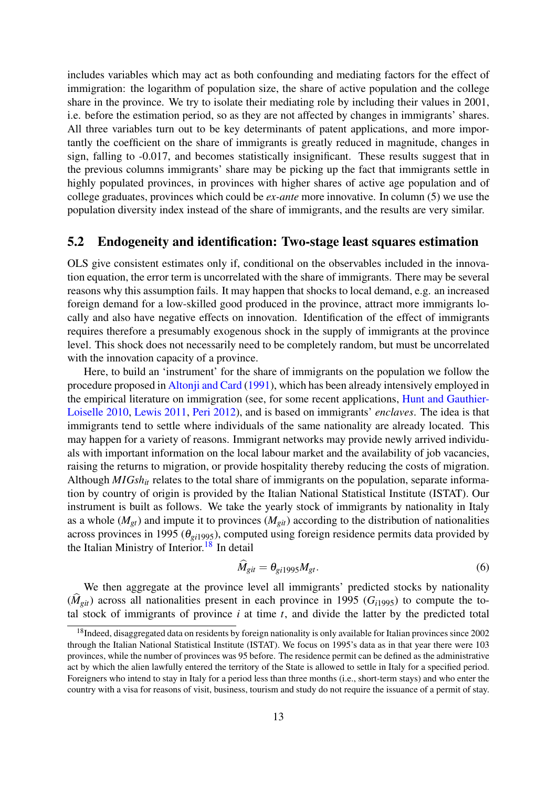includes variables which may act as both confounding and mediating factors for the effect of immigration: the logarithm of population size, the share of active population and the college share in the province. We try to isolate their mediating role by including their values in 2001, i.e. before the estimation period, so as they are not affected by changes in immigrants' shares. All three variables turn out to be key determinants of patent applications, and more importantly the coefficient on the share of immigrants is greatly reduced in magnitude, changes in sign, falling to -0.017, and becomes statistically insignificant. These results suggest that in the previous columns immigrants' share may be picking up the fact that immigrants settle in highly populated provinces, in provinces with higher shares of active age population and of college graduates, provinces which could be *ex-ante* more innovative. In column (5) we use the population diversity index instead of the share of immigrants, and the results are very similar.

### <span id="page-14-0"></span>5.2 Endogeneity and identification: Two-stage least squares estimation

OLS give consistent estimates only if, conditional on the observables included in the innovation equation, the error term is uncorrelated with the share of immigrants. There may be several reasons why this assumption fails. It may happen that shocks to local demand, e.g. an increased foreign demand for a low-skilled good produced in the province, attract more immigrants locally and also have negative effects on innovation. Identification of the effect of immigrants requires therefore a presumably exogenous shock in the supply of immigrants at the province level. This shock does not necessarily need to be completely random, but must be uncorrelated with the innovation capacity of a province.

Here, to build an 'instrument' for the share of immigrants on the population we follow the procedure proposed in [Altonji and Card](#page-25-14) [\(1991\)](#page-25-14), which has been already intensively employed in the empirical literature on immigration (see, for some recent applications, [Hunt and Gauthier-](#page-26-4)[Loiselle](#page-26-4) [2010,](#page-26-4) [Lewis](#page-27-8) [2011,](#page-27-8) [Peri](#page-27-2) [2012\)](#page-27-2), and is based on immigrants' *enclaves*. The idea is that immigrants tend to settle where individuals of the same nationality are already located. This may happen for a variety of reasons. Immigrant networks may provide newly arrived individuals with important information on the local labour market and the availability of job vacancies, raising the returns to migration, or provide hospitality thereby reducing the costs of migration. Although *MIGshit* relates to the total share of immigrants on the population, separate information by country of origin is provided by the Italian National Statistical Institute (ISTAT). Our instrument is built as follows. We take the yearly stock of immigrants by nationality in Italy as a whole  $(M_{gt})$  and impute it to provinces  $(M_{gt})$  according to the distribution of nationalities across provinces in 1995 (θ*gi*1995), computed using foreign residence permits data provided by the Italian Ministry of Interior.<sup>[18](#page--1-0)</sup> In detail

$$
M_{git} = \theta_{gi1995} M_{gt}.\tag{6}
$$

We then aggregate at the province level all immigrants' predicted stocks by nationality  $(\hat{M}_{git})$  across all nationalities present in each province in 1995 ( $G$ <sub>i1995</sub>) to compute the total stock of immigrants of province *i* at time *t*, and divide the latter by the predicted total

 $18$ Indeed, disaggregated data on residents by foreign nationality is only available for Italian provinces since 2002 through the Italian National Statistical Institute (ISTAT). We focus on 1995's data as in that year there were 103 provinces, while the number of provinces was 95 before. The residence permit can be defined as the administrative act by which the alien lawfully entered the territory of the State is allowed to settle in Italy for a specified period. Foreigners who intend to stay in Italy for a period less than three months (i.e., short-term stays) and who enter the country with a visa for reasons of visit, business, tourism and study do not require the issuance of a permit of stay.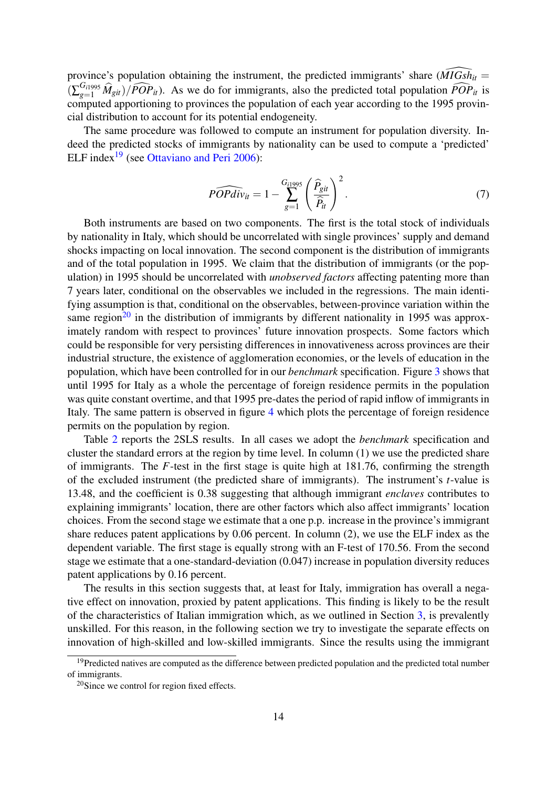province's population obtaining the instrument, the predicted immigrants' share  $(MIGs\overline{h}_{it} =$  $(\sum_{g=1}^{G_{i1995}} \hat{M}_{git})/\widehat{POP}_{it}$ . As we do for immigrants, also the predicted total population  $\widehat{POP}_{it}$  is computed apportioning to provinces the population of each year according to the 1995 provincial distribution to account for its potential endogeneity.

The same procedure was followed to compute an instrument for population diversity. Indeed the predicted stocks of immigrants by nationality can be used to compute a 'predicted' ELF index<sup>[19](#page--1-0)</sup> (see [Ottaviano and Peri](#page-27-13) [2006\)](#page-27-13):

$$
\widehat{POPdiv}_{it} = 1 - \sum_{g=1}^{G_{i1995}} \left(\frac{\widehat{P}_{git}}{\widehat{P}_{it}}\right)^2.
$$
\n(7)

Both instruments are based on two components. The first is the total stock of individuals by nationality in Italy, which should be uncorrelated with single provinces' supply and demand shocks impacting on local innovation. The second component is the distribution of immigrants and of the total population in 1995. We claim that the distribution of immigrants (or the population) in 1995 should be uncorrelated with *unobserved factors* affecting patenting more than 7 years later, conditional on the observables we included in the regressions. The main identifying assumption is that, conditional on the observables, between-province variation within the same region<sup>[20](#page--1-0)</sup> in the distribution of immigrants by different nationality in 1995 was approximately random with respect to provinces' future innovation prospects. Some factors which could be responsible for very persisting differences in innovativeness across provinces are their industrial structure, the existence of agglomeration economies, or the levels of education in the population, which have been controlled for in our *benchmark* specification. Figure [3](#page-16-0) shows that until 1995 for Italy as a whole the percentage of foreign residence permits in the population was quite constant overtime, and that 1995 pre-dates the period of rapid inflow of immigrants in Italy. The same pattern is observed in figure [4](#page-17-0) which plots the percentage of foreign residence permits on the population by region.

Table [2](#page-19-0) reports the 2SLS results. In all cases we adopt the *benchmark* specification and cluster the standard errors at the region by time level. In column (1) we use the predicted share of immigrants. The *F*-test in the first stage is quite high at 181.76, confirming the strength of the excluded instrument (the predicted share of immigrants). The instrument's *t*-value is 13.48, and the coefficient is 0.38 suggesting that although immigrant *enclaves* contributes to explaining immigrants' location, there are other factors which also affect immigrants' location choices. From the second stage we estimate that a one p.p. increase in the province's immigrant share reduces patent applications by 0.06 percent. In column (2), we use the ELF index as the dependent variable. The first stage is equally strong with an F-test of 170.56. From the second stage we estimate that a one-standard-deviation (0.047) increase in population diversity reduces patent applications by 0.16 percent.

The results in this section suggests that, at least for Italy, immigration has overall a negative effect on innovation, proxied by patent applications. This finding is likely to be the result of the characteristics of Italian immigration which, as we outlined in Section [3,](#page-7-0) is prevalently unskilled. For this reason, in the following section we try to investigate the separate effects on innovation of high-skilled and low-skilled immigrants. Since the results using the immigrant

<sup>&</sup>lt;sup>19</sup>Predicted natives are computed as the difference between predicted population and the predicted total number of immigrants.

 $20$ Since we control for region fixed effects.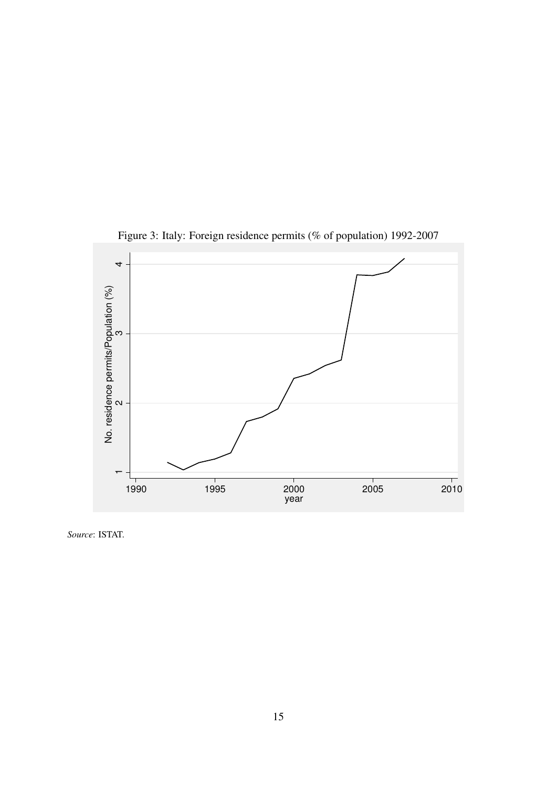

<span id="page-16-0"></span>Figure 3: Italy: Foreign residence permits (% of population) 1992-2007

*Source*: ISTAT.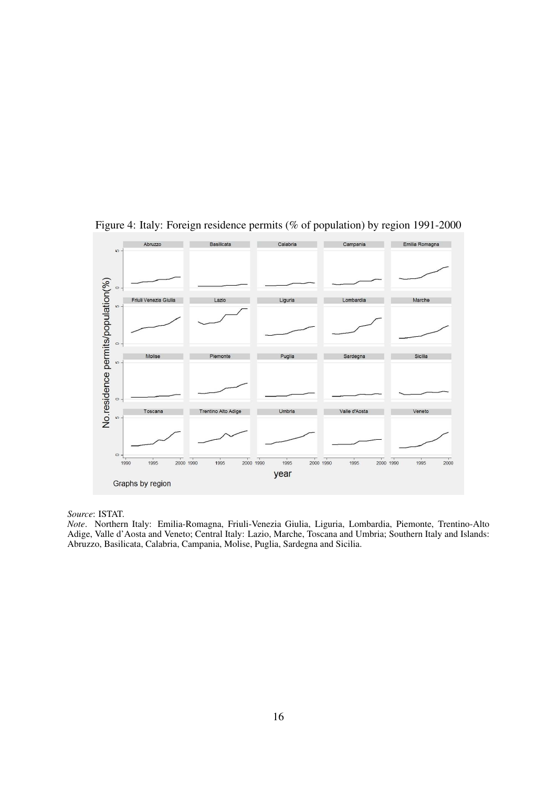

<span id="page-17-0"></span>Figure 4: Italy: Foreign residence permits (% of population) by region 1991-2000

*Source*: ISTAT.

*Note*. Northern Italy: Emilia-Romagna, Friuli-Venezia Giulia, Liguria, Lombardia, Piemonte, Trentino-Alto Adige, Valle d'Aosta and Veneto; Central Italy: Lazio, Marche, Toscana and Umbria; Southern Italy and Islands: Abruzzo, Basilicata, Calabria, Campania, Molise, Puglia, Sardegna and Sicilia.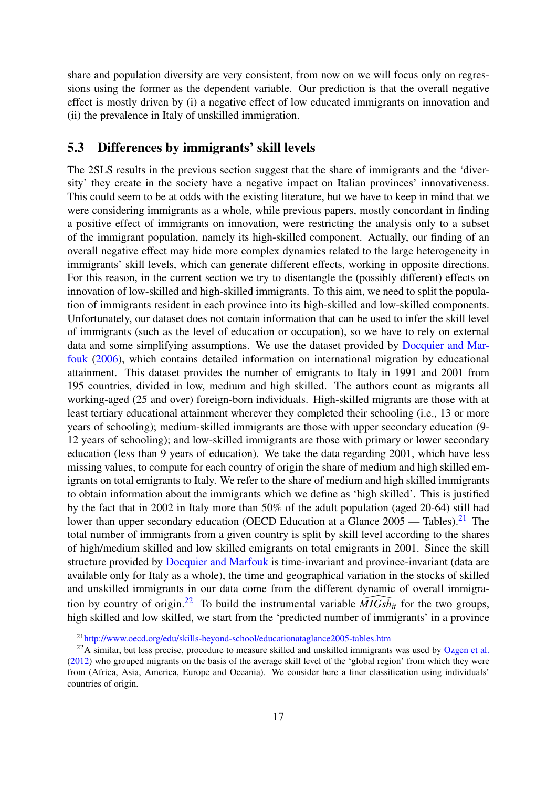share and population diversity are very consistent, from now on we will focus only on regressions using the former as the dependent variable. Our prediction is that the overall negative effect is mostly driven by (i) a negative effect of low educated immigrants on innovation and (ii) the prevalence in Italy of unskilled immigration.

### <span id="page-18-0"></span>5.3 Differences by immigrants' skill levels

The 2SLS results in the previous section suggest that the share of immigrants and the 'diversity' they create in the society have a negative impact on Italian provinces' innovativeness. This could seem to be at odds with the existing literature, but we have to keep in mind that we were considering immigrants as a whole, while previous papers, mostly concordant in finding a positive effect of immigrants on innovation, were restricting the analysis only to a subset of the immigrant population, namely its high-skilled component. Actually, our finding of an overall negative effect may hide more complex dynamics related to the large heterogeneity in immigrants' skill levels, which can generate different effects, working in opposite directions. For this reason, in the current section we try to disentangle the (possibly different) effects on innovation of low-skilled and high-skilled immigrants. To this aim, we need to split the population of immigrants resident in each province into its high-skilled and low-skilled components. Unfortunately, our dataset does not contain information that can be used to infer the skill level of immigrants (such as the level of education or occupation), so we have to rely on external data and some simplifying assumptions. We use the dataset provided by [Docquier and Mar](#page-26-5)[fouk](#page-26-5) [\(2006\)](#page-26-5), which contains detailed information on international migration by educational attainment. This dataset provides the number of emigrants to Italy in 1991 and 2001 from 195 countries, divided in low, medium and high skilled. The authors count as migrants all working-aged (25 and over) foreign-born individuals. High-skilled migrants are those with at least tertiary educational attainment wherever they completed their schooling (i.e., 13 or more years of schooling); medium-skilled immigrants are those with upper secondary education (9- 12 years of schooling); and low-skilled immigrants are those with primary or lower secondary education (less than 9 years of education). We take the data regarding 2001, which have less missing values, to compute for each country of origin the share of medium and high skilled emigrants on total emigrants to Italy. We refer to the share of medium and high skilled immigrants to obtain information about the immigrants which we define as 'high skilled'. This is justified by the fact that in 2002 in Italy more than 50% of the adult population (aged 20-64) still had lower than upper secondary education (OECD Education at a Glance  $2005 -$  Tables).<sup>[21](#page--1-0)</sup> The total number of immigrants from a given country is split by skill level according to the shares of high/medium skilled and low skilled emigrants on total emigrants in 2001. Since the skill structure provided by [Docquier and Marfouk](#page-26-5) is time-invariant and province-invariant (data are available only for Italy as a whole), the time and geographical variation in the stocks of skilled and unskilled immigrants in our data come from the different dynamic of overall immigra-tion by country of origin.<sup>[22](#page--1-0)</sup> To build the instrumental variable  $\widehat{MIGsh}_{it}$  for the two groups, high skilled and low skilled, we start from the 'predicted number of immigrants' in a province

<sup>21</sup><http://www.oecd.org/edu/skills-beyond-school/educationataglance2005-tables.htm>

<sup>&</sup>lt;sup>22</sup>A similar, but less precise, procedure to measure skilled and unskilled immigrants was used by [Ozgen et al.](#page-27-10) [\(2012\)](#page-27-10) who grouped migrants on the basis of the average skill level of the 'global region' from which they were from (Africa, Asia, America, Europe and Oceania). We consider here a finer classification using individuals' countries of origin.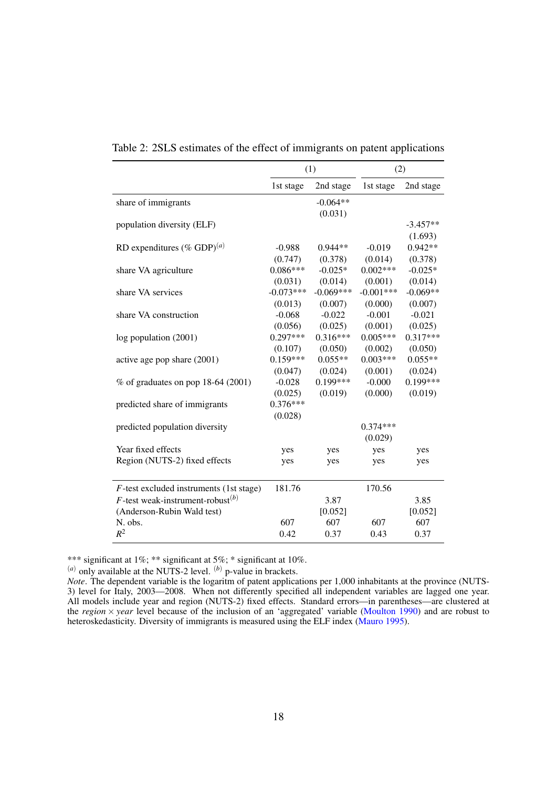|                                                      | (1)         |             | (2)         |            |
|------------------------------------------------------|-------------|-------------|-------------|------------|
|                                                      | 1st stage   | 2nd stage   | 1st stage   | 2nd stage  |
| share of immigrants                                  |             | $-0.064**$  |             |            |
| population diversity (ELF)                           |             | (0.031)     |             | $-3.457**$ |
|                                                      |             |             |             | (1.693)    |
| RD expenditures (% GDP) $^{(a)}$                     | $-0.988$    | $0.944**$   | $-0.019$    | $0.942**$  |
|                                                      | (0.747)     | (0.378)     | (0.014)     | (0.378)    |
| share VA agriculture                                 | $0.086***$  | $-0.025*$   | $0.002***$  | $-0.025*$  |
|                                                      | (0.031)     | (0.014)     | (0.001)     | (0.014)    |
| share VA services                                    | $-0.073***$ | $-0.069***$ | $-0.001***$ | $-0.069**$ |
|                                                      | (0.013)     | (0.007)     | (0.000)     | (0.007)    |
| share VA construction                                | $-0.068$    | $-0.022$    | $-0.001$    | $-0.021$   |
|                                                      | (0.056)     | (0.025)     | (0.001)     | (0.025)    |
| log population (2001)                                | $0.297***$  | $0.316***$  | $0.005***$  | $0.317***$ |
|                                                      | (0.107)     | (0.050)     | (0.002)     | (0.050)    |
| active age pop share (2001)                          | $0.159***$  | $0.055**$   | $0.003***$  | $0.055**$  |
|                                                      | (0.047)     | (0.024)     | (0.001)     | (0.024)    |
| $%$ of graduates on pop 18-64 (2001)                 | $-0.028$    | $0.199***$  | $-0.000$    | $0.199***$ |
|                                                      | (0.025)     | (0.019)     | (0.000)     | (0.019)    |
| predicted share of immigrants                        | $0.376***$  |             |             |            |
|                                                      | (0.028)     |             |             |            |
| predicted population diversity                       |             |             | $0.374***$  |            |
|                                                      |             |             | (0.029)     |            |
| Year fixed effects                                   | yes         | yes         | yes         | yes        |
| Region (NUTS-2) fixed effects                        | yes         | yes         | yes         | yes        |
|                                                      |             |             |             |            |
| $F$ -test excluded instruments (1st stage)           | 181.76      |             | 170.56      |            |
| <i>F</i> -test weak-instrument-robust <sup>(b)</sup> |             | 3.87        |             | 3.85       |
| (Anderson-Rubin Wald test)                           |             | [0.052]     |             | [0.052]    |
| N. obs.                                              | 607         | 607         | 607         | 607        |
| $R^2$                                                | 0.42        | 0.37        | 0.43        | 0.37       |

<span id="page-19-0"></span>Table 2: 2SLS estimates of the effect of immigrants on patent applications

\*\*\* significant at 1%; \*\* significant at 5%; \* significant at 10%.

 $(a)$  only available at the NUTS-2 level.  $(b)$  p-value in brackets.

*Note*. The dependent variable is the logaritm of patent applications per 1,000 inhabitants at the province (NUTS-3) level for Italy, 2003—2008. When not differently specified all independent variables are lagged one year. All models include year and region (NUTS-2) fixed effects. Standard errors—in parentheses—are clustered at the *region* × *year* level because of the inclusion of an 'aggregated' variable [\(Moulton](#page-27-15) [1990\)](#page-27-15) and are robust to heteroskedasticity. Diversity of immigrants is measured using the ELF index [\(Mauro](#page-27-16) [1995\)](#page-27-16).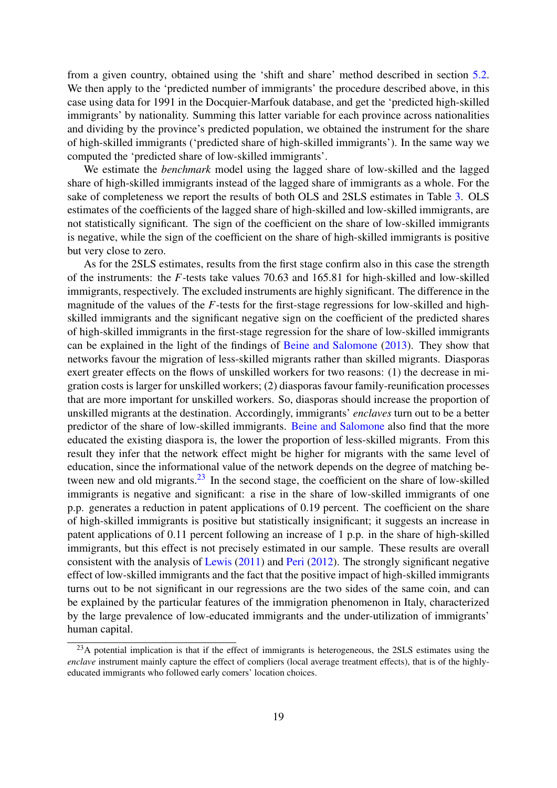from a given country, obtained using the 'shift and share' method described in section [5.2.](#page-14-0) We then apply to the 'predicted number of immigrants' the procedure described above, in this case using data for 1991 in the Docquier-Marfouk database, and get the 'predicted high-skilled immigrants' by nationality. Summing this latter variable for each province across nationalities and dividing by the province's predicted population, we obtained the instrument for the share of high-skilled immigrants ('predicted share of high-skilled immigrants'). In the same way we computed the 'predicted share of low-skilled immigrants'.

We estimate the *benchmark* model using the lagged share of low-skilled and the lagged share of high-skilled immigrants instead of the lagged share of immigrants as a whole. For the sake of completeness we report the results of both OLS and 2SLS estimates in Table [3.](#page-21-0) OLS estimates of the coefficients of the lagged share of high-skilled and low-skilled immigrants, are not statistically significant. The sign of the coefficient on the share of low-skilled immigrants is negative, while the sign of the coefficient on the share of high-skilled immigrants is positive but very close to zero.

As for the 2SLS estimates, results from the first stage confirm also in this case the strength of the instruments: the *F*-tests take values 70.63 and 165.81 for high-skilled and low-skilled immigrants, respectively. The excluded instruments are highly significant. The difference in the magnitude of the values of the *F*-tests for the first-stage regressions for low-skilled and highskilled immigrants and the significant negative sign on the coefficient of the predicted shares of high-skilled immigrants in the first-stage regression for the share of low-skilled immigrants can be explained in the light of the findings of [Beine and Salomone](#page-25-15) [\(2013\)](#page-25-15). They show that networks favour the migration of less-skilled migrants rather than skilled migrants. Diasporas exert greater effects on the flows of unskilled workers for two reasons: (1) the decrease in migration costs is larger for unskilled workers; (2) diasporas favour family-reunification processes that are more important for unskilled workers. So, diasporas should increase the proportion of unskilled migrants at the destination. Accordingly, immigrants' *enclaves* turn out to be a better predictor of the share of low-skilled immigrants. [Beine and Salomone](#page-25-15) also find that the more educated the existing diaspora is, the lower the proportion of less-skilled migrants. From this result they infer that the network effect might be higher for migrants with the same level of education, since the informational value of the network depends on the degree of matching be-tween new and old migrants.<sup>[23](#page--1-0)</sup> In the second stage, the coefficient on the share of low-skilled immigrants is negative and significant: a rise in the share of low-skilled immigrants of one p.p. generates a reduction in patent applications of 0.19 percent. The coefficient on the share of high-skilled immigrants is positive but statistically insignificant; it suggests an increase in patent applications of 0.11 percent following an increase of 1 p.p. in the share of high-skilled immigrants, but this effect is not precisely estimated in our sample. These results are overall consistent with the analysis of [Lewis](#page-27-8) [\(2011\)](#page-27-8) and [Peri](#page-27-2) [\(2012\)](#page-27-2). The strongly significant negative effect of low-skilled immigrants and the fact that the positive impact of high-skilled immigrants turns out to be not significant in our regressions are the two sides of the same coin, and can be explained by the particular features of the immigration phenomenon in Italy, characterized by the large prevalence of low-educated immigrants and the under-utilization of immigrants' human capital.

 $^{23}$ A potential implication is that if the effect of immigrants is heterogeneous, the 2SLS estimates using the *enclave* instrument mainly capture the effect of compliers (local average treatment effects), that is of the highlyeducated immigrants who followed early comers' location choices.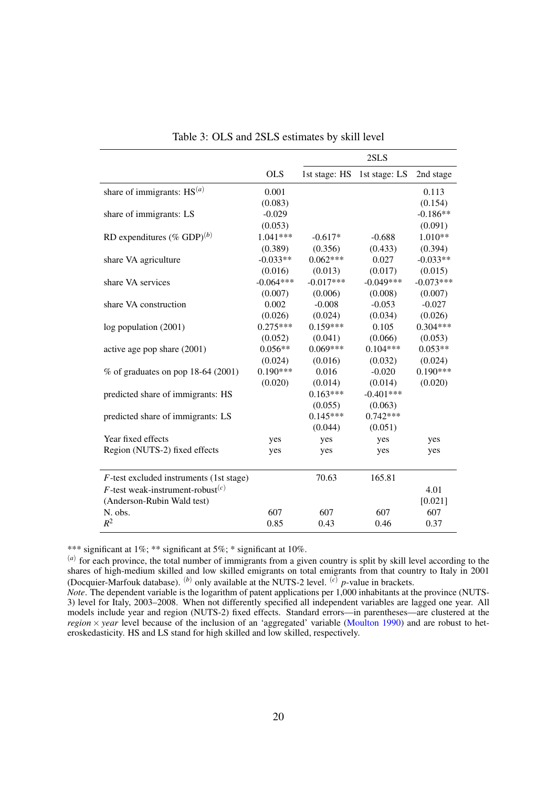| 2SLS                                                                    |             |  |  |
|-------------------------------------------------------------------------|-------------|--|--|
| <b>OLS</b><br>1st stage: HS 1st stage: LS                               | 2nd stage   |  |  |
| share of immigrants: $HS(a)$<br>0.001                                   | 0.113       |  |  |
| (0.083)                                                                 | (0.154)     |  |  |
| share of immigrants: LS<br>$-0.029$                                     | $-0.186**$  |  |  |
| (0.053)                                                                 | (0.091)     |  |  |
| RD expenditures (% GDP) $^{(b)}$<br>1.041***<br>$-0.688$<br>$-0.617*$   | $1.010**$   |  |  |
| (0.389)<br>(0.356)<br>(0.433)                                           | (0.394)     |  |  |
| $-0.033**$<br>$0.062***$<br>0.027<br>share VA agriculture               | $-0.033**$  |  |  |
| (0.016)<br>(0.017)<br>(0.013)                                           | (0.015)     |  |  |
| $-0.017***$<br>$-0.049***$<br>$-0.064***$<br>share VA services          | $-0.073***$ |  |  |
| (0.006)<br>(0.008)<br>(0.007)                                           | (0.007)     |  |  |
| 0.002<br>$-0.008$<br>$-0.053$<br>share VA construction                  | $-0.027$    |  |  |
| (0.026)<br>(0.024)<br>(0.034)                                           | (0.026)     |  |  |
| $0.275***$<br>$0.159***$<br>0.105<br>log population (2001)              | $0.304***$  |  |  |
| (0.066)<br>(0.052)<br>(0.041)                                           | (0.053)     |  |  |
| $0.069***$<br>$0.056**$<br>$0.104***$<br>active age pop share (2001)    | $0.053**$   |  |  |
| (0.024)<br>(0.016)<br>(0.032)                                           | (0.024)     |  |  |
| $0.190***$<br>0.016<br>$-0.020$<br>$%$ of graduates on pop 18-64 (2001) | $0.190***$  |  |  |
| (0.020)<br>(0.014)<br>(0.014)                                           | (0.020)     |  |  |
| $0.163***$<br>$-0.401***$<br>predicted share of immigrants: HS          |             |  |  |
| (0.055)<br>(0.063)                                                      |             |  |  |
| $0.145***$<br>$0.742***$<br>predicted share of immigrants: LS           |             |  |  |
| (0.044)<br>(0.051)                                                      |             |  |  |
| Year fixed effects<br>yes<br>yes<br>yes                                 | yes         |  |  |
| Region (NUTS-2) fixed effects<br>yes<br>yes<br>yes                      | yes         |  |  |
| 70.63<br>165.81<br>$F$ -test excluded instruments (1st stage)           |             |  |  |
| F-test weak-instrument-robust $(c)$                                     | 4.01        |  |  |
| (Anderson-Rubin Wald test)                                              | [0.021]     |  |  |
| N. obs.<br>607<br>607<br>607                                            | 607         |  |  |
| $R^2$<br>0.85<br>0.43<br>0.46                                           | 0.37        |  |  |

<span id="page-21-0"></span>Table 3: OLS and 2SLS estimates by skill level

\*\*\* significant at 1%; \*\* significant at 5%; \* significant at 10%.

(*a*) for each province, the total number of immigrants from a given country is split by skill level according to the shares of high-medium skilled and low skilled emigrants on total emigrants from that country to Italy in 2001 (Docquier-Marfouk database). (*b*) only available at the NUTS-2 level. (*c*) *p*-value in brackets.

*Note*. The dependent variable is the logarithm of patent applications per 1,000 inhabitants at the province (NUTS-3) level for Italy, 2003–2008. When not differently specified all independent variables are lagged one year. All models include year and region (NUTS-2) fixed effects. Standard errors—in parentheses—are clustered at the *region*  $\times$  *year* level because of the inclusion of an 'aggregated' variable [\(Moulton](#page-27-15) [1990\)](#page-27-15) and are robust to heteroskedasticity. HS and LS stand for high skilled and low skilled, respectively.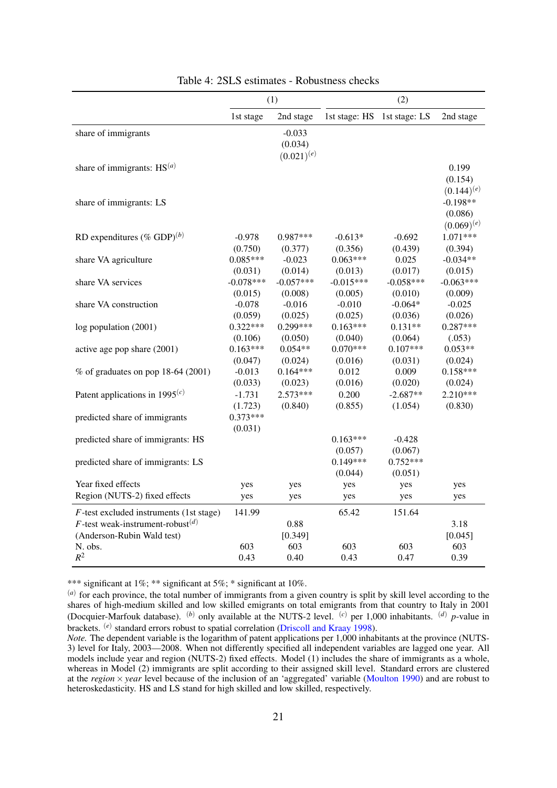|                                                                         | (1)                   |                                        | (2)                   |                       |                                          |
|-------------------------------------------------------------------------|-----------------------|----------------------------------------|-----------------------|-----------------------|------------------------------------------|
|                                                                         | 1st stage             | 2nd stage                              | 1st stage: HS         | 1st stage: LS         | 2nd stage                                |
| share of immigrants                                                     |                       | $-0.033$<br>(0.034)<br>$(0.021)^{(e)}$ |                       |                       |                                          |
| share of immigrants: $HS(a)$                                            |                       |                                        |                       |                       | 0.199<br>(0.154)<br>$(0.144)^{(e)}$      |
| share of immigrants: LS                                                 |                       |                                        |                       |                       | $-0.198**$<br>(0.086)<br>$(0.069)^{(e)}$ |
| RD expenditures (% GDP) <sup>(b)</sup>                                  | $-0.978$              | $0.987***$                             | $-0.613*$             | $-0.692$              | 1.071***                                 |
|                                                                         | (0.750)               | (0.377)                                | (0.356)               | (0.439)               | (0.394)                                  |
| share VA agriculture                                                    | $0.085***$            | $-0.023$                               | $0.063***$            | 0.025                 | $-0.034**$                               |
|                                                                         | (0.031)               | (0.014)                                | (0.013)               | (0.017)               | (0.015)                                  |
| share VA services                                                       | $-0.078***$           | $-0.057***$                            | $-0.015***$           | $-0.058***$           | $-0.063***$                              |
|                                                                         | (0.015)               | (0.008)                                | (0.005)               | (0.010)               | (0.009)                                  |
| share VA construction                                                   | $-0.078$              | $-0.016$                               | $-0.010$              | $-0.064*$             | $-0.025$                                 |
|                                                                         | (0.059)               | (0.025)                                | (0.025)               | (0.036)               | (0.026)                                  |
| log population (2001)                                                   | $0.322***$            | $0.299***$                             | $0.163***$            | $0.131**$             | $0.287***$                               |
|                                                                         | (0.106)               | (0.050)                                | (0.040)               | (0.064)               | (.053)                                   |
| active age pop share (2001)                                             | $0.163***$            | $0.054**$                              | $0.070***$            | $0.107***$            | $0.053**$                                |
|                                                                         | (0.047)               | (0.024)                                | (0.016)               | (0.031)               | (0.024)                                  |
| $%$ of graduates on pop 18-64 (2001)                                    | $-0.013$              | $0.164***$                             | 0.012                 | 0.009                 | $0.158***$                               |
|                                                                         | (0.033)               | (0.023)                                | (0.016)               | (0.020)               | (0.024)                                  |
| Patent applications in $1995(c)$                                        | $-1.731$              | $2.573***$                             | 0.200                 | $-2.687**$            | $2.210***$                               |
|                                                                         | (1.723)               | (0.840)                                | (0.855)               | (1.054)               | (0.830)                                  |
| predicted share of immigrants                                           | $0.373***$<br>(0.031) |                                        |                       |                       |                                          |
| predicted share of immigrants: HS                                       |                       |                                        | $0.163***$<br>(0.057) | $-0.428$<br>(0.067)   |                                          |
| predicted share of immigrants: LS                                       |                       |                                        | $0.149***$<br>(0.044) | $0.752***$<br>(0.051) |                                          |
| Year fixed effects                                                      | yes                   | yes                                    | yes                   | yes                   | yes                                      |
| Region (NUTS-2) fixed effects                                           | yes                   | yes                                    | yes                   | yes                   | yes                                      |
| $F$ -test excluded instruments (1st stage)                              | 141.99                |                                        | 65.42                 | 151.64                |                                          |
| $F$ -test weak-instrument-robust $^{(d)}$<br>(Anderson-Rubin Wald test) |                       | 0.88<br>[0.349]                        |                       |                       | 3.18<br>[0.045]                          |
| N. obs.                                                                 | 603                   | 603                                    | 603                   | 603                   | 603                                      |
| $R^2$                                                                   | 0.43                  | 0.40                                   | 0.43                  | 0.47                  | 0.39                                     |

<span id="page-22-0"></span>Table 4: 2SLS estimates - Robustness checks

\*\*\* significant at 1%; \*\* significant at 5%; \* significant at 10%.

(*a*) for each province, the total number of immigrants from a given country is split by skill level according to the shares of high-medium skilled and low skilled emigrants on total emigrants from that country to Italy in 2001 (Docquier-Marfouk database). (*b*) only available at the NUTS-2 level. (*c*) per 1,000 inhabitants. (*d*) *p*-value in brackets. <sup>(*e*)</sup> standard errors robust to spatial correlation [\(Driscoll and Kraay](#page-26-17) [1998\)](#page-26-17).

*Note.* The dependent variable is the logarithm of patent applications per 1,000 inhabitants at the province (NUTS-3) level for Italy, 2003—2008. When not differently specified all independent variables are lagged one year. All models include year and region (NUTS-2) fixed effects. Model (1) includes the share of immigrants as a whole, whereas in Model (2) immigrants are split according to their assigned skill level. Standard errors are clustered at the *region* × *year* level because of the inclusion of an 'aggregated' variable [\(Moulton](#page-27-15) [1990\)](#page-27-15) and are robust to heteroskedasticity. HS and LS stand for high skilled and low skilled, respectively.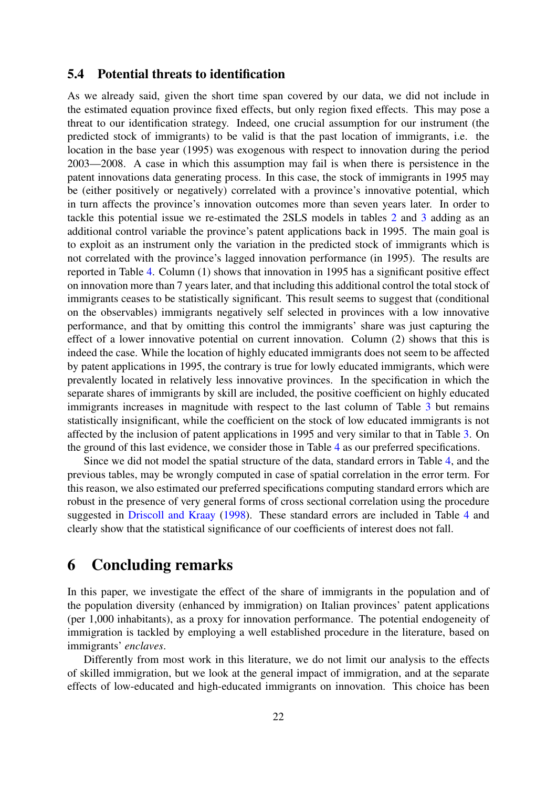### <span id="page-23-0"></span>5.4 Potential threats to identification

As we already said, given the short time span covered by our data, we did not include in the estimated equation province fixed effects, but only region fixed effects. This may pose a threat to our identification strategy. Indeed, one crucial assumption for our instrument (the predicted stock of immigrants) to be valid is that the past location of immigrants, i.e. the location in the base year (1995) was exogenous with respect to innovation during the period 2003—2008. A case in which this assumption may fail is when there is persistence in the patent innovations data generating process. In this case, the stock of immigrants in 1995 may be (either positively or negatively) correlated with a province's innovative potential, which in turn affects the province's innovation outcomes more than seven years later. In order to tackle this potential issue we re-estimated the 2SLS models in tables [2](#page-19-0) and [3](#page-21-0) adding as an additional control variable the province's patent applications back in 1995. The main goal is to exploit as an instrument only the variation in the predicted stock of immigrants which is not correlated with the province's lagged innovation performance (in 1995). The results are reported in Table [4.](#page-22-0) Column (1) shows that innovation in 1995 has a significant positive effect on innovation more than 7 years later, and that including this additional control the total stock of immigrants ceases to be statistically significant. This result seems to suggest that (conditional on the observables) immigrants negatively self selected in provinces with a low innovative performance, and that by omitting this control the immigrants' share was just capturing the effect of a lower innovative potential on current innovation. Column (2) shows that this is indeed the case. While the location of highly educated immigrants does not seem to be affected by patent applications in 1995, the contrary is true for lowly educated immigrants, which were prevalently located in relatively less innovative provinces. In the specification in which the separate shares of immigrants by skill are included, the positive coefficient on highly educated immigrants increases in magnitude with respect to the last column of Table [3](#page-21-0) but remains statistically insignificant, while the coefficient on the stock of low educated immigrants is not affected by the inclusion of patent applications in 1995 and very similar to that in Table [3.](#page-21-0) On the ground of this last evidence, we consider those in Table [4](#page-22-0) as our preferred specifications.

Since we did not model the spatial structure of the data, standard errors in Table [4,](#page-22-0) and the previous tables, may be wrongly computed in case of spatial correlation in the error term. For this reason, we also estimated our preferred specifications computing standard errors which are robust in the presence of very general forms of cross sectional correlation using the procedure suggested in [Driscoll and Kraay](#page-26-17) [\(1998\)](#page-26-17). These standard errors are included in Table [4](#page-22-0) and clearly show that the statistical significance of our coefficients of interest does not fall.

### 6 Concluding remarks

In this paper, we investigate the effect of the share of immigrants in the population and of the population diversity (enhanced by immigration) on Italian provinces' patent applications (per 1,000 inhabitants), as a proxy for innovation performance. The potential endogeneity of immigration is tackled by employing a well established procedure in the literature, based on immigrants' *enclaves*.

Differently from most work in this literature, we do not limit our analysis to the effects of skilled immigration, but we look at the general impact of immigration, and at the separate effects of low-educated and high-educated immigrants on innovation. This choice has been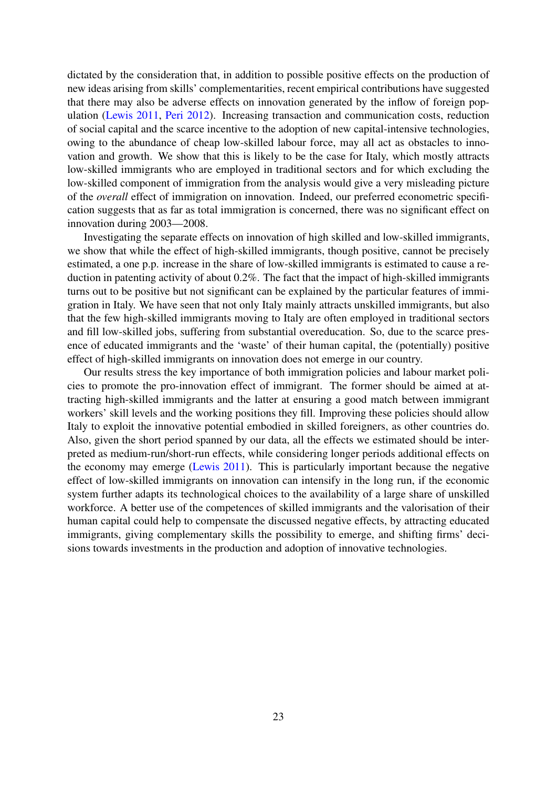dictated by the consideration that, in addition to possible positive effects on the production of new ideas arising from skills' complementarities, recent empirical contributions have suggested that there may also be adverse effects on innovation generated by the inflow of foreign population [\(Lewis](#page-27-8) [2011,](#page-27-8) [Peri](#page-27-2) [2012\)](#page-27-2). Increasing transaction and communication costs, reduction of social capital and the scarce incentive to the adoption of new capital-intensive technologies, owing to the abundance of cheap low-skilled labour force, may all act as obstacles to innovation and growth. We show that this is likely to be the case for Italy, which mostly attracts low-skilled immigrants who are employed in traditional sectors and for which excluding the low-skilled component of immigration from the analysis would give a very misleading picture of the *overall* effect of immigration on innovation. Indeed, our preferred econometric specification suggests that as far as total immigration is concerned, there was no significant effect on innovation during 2003—2008.

Investigating the separate effects on innovation of high skilled and low-skilled immigrants, we show that while the effect of high-skilled immigrants, though positive, cannot be precisely estimated, a one p.p. increase in the share of low-skilled immigrants is estimated to cause a reduction in patenting activity of about 0.2%. The fact that the impact of high-skilled immigrants turns out to be positive but not significant can be explained by the particular features of immigration in Italy. We have seen that not only Italy mainly attracts unskilled immigrants, but also that the few high-skilled immigrants moving to Italy are often employed in traditional sectors and fill low-skilled jobs, suffering from substantial overeducation. So, due to the scarce presence of educated immigrants and the 'waste' of their human capital, the (potentially) positive effect of high-skilled immigrants on innovation does not emerge in our country.

Our results stress the key importance of both immigration policies and labour market policies to promote the pro-innovation effect of immigrant. The former should be aimed at attracting high-skilled immigrants and the latter at ensuring a good match between immigrant workers' skill levels and the working positions they fill. Improving these policies should allow Italy to exploit the innovative potential embodied in skilled foreigners, as other countries do. Also, given the short period spanned by our data, all the effects we estimated should be interpreted as medium-run/short-run effects, while considering longer periods additional effects on the economy may emerge [\(Lewis](#page-27-8) [2011\)](#page-27-8). This is particularly important because the negative effect of low-skilled immigrants on innovation can intensify in the long run, if the economic system further adapts its technological choices to the availability of a large share of unskilled workforce. A better use of the competences of skilled immigrants and the valorisation of their human capital could help to compensate the discussed negative effects, by attracting educated immigrants, giving complementary skills the possibility to emerge, and shifting firms' decisions towards investments in the production and adoption of innovative technologies.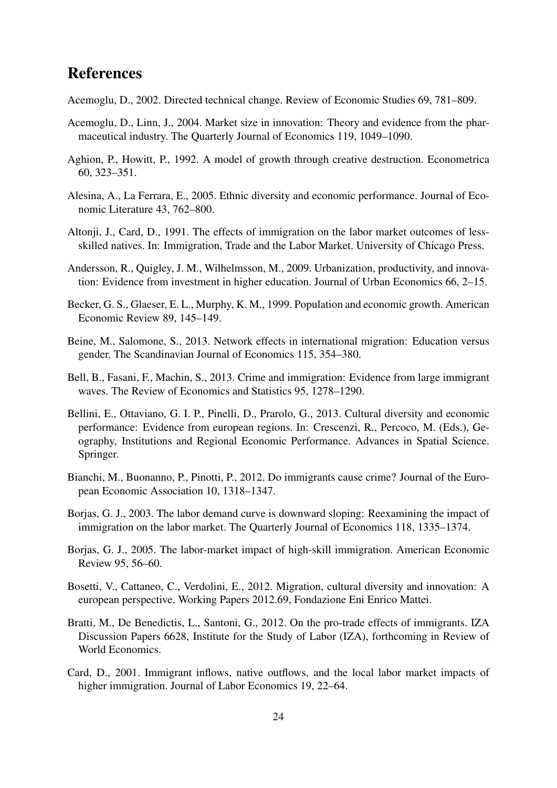### References

- <span id="page-25-6"></span>Acemoglu, D., 2002. Directed technical change. Review of Economic Studies 69, 781–809.
- <span id="page-25-8"></span>Acemoglu, D., Linn, J., 2004. Market size in innovation: Theory and evidence from the pharmaceutical industry. The Quarterly Journal of Economics 119, 1049–1090.
- <span id="page-25-5"></span>Aghion, P., Howitt, P., 1992. A model of growth through creative destruction. Econometrica 60, 323–351.
- <span id="page-25-10"></span>Alesina, A., La Ferrara, E., 2005. Ethnic diversity and economic performance. Journal of Economic Literature 43, 762–800.
- <span id="page-25-14"></span>Altonji, J., Card, D., 1991. The effects of immigration on the labor market outcomes of lessskilled natives. In: Immigration, Trade and the Labor Market. University of Chicago Press.
- <span id="page-25-9"></span>Andersson, R., Quigley, J. M., Wilhelmsson, M., 2009. Urbanization, productivity, and innovation: Evidence from investment in higher education. Journal of Urban Economics 66, 2–15.
- <span id="page-25-7"></span>Becker, G. S., Glaeser, E. L., Murphy, K. M., 1999. Population and economic growth. American Economic Review 89, 145–149.
- <span id="page-25-15"></span>Beine, M., Salomone, S., 2013. Network effects in international migration: Education versus gender. The Scandinavian Journal of Economics 115, 354–380.
- <span id="page-25-4"></span>Bell, B., Fasani, F., Machin, S., 2013. Crime and immigration: Evidence from large immigrant waves. The Review of Economics and Statistics 95, 1278–1290.
- <span id="page-25-12"></span>Bellini, E., Ottaviano, G. I. P., Pinelli, D., Prarolo, G., 2013. Cultural diversity and economic performance: Evidence from european regions. In: Crescenzi, R., Percoco, M. (Eds.), Geography, Institutions and Regional Economic Performance. Advances in Spatial Science. Springer.
- <span id="page-25-3"></span>Bianchi, M., Buonanno, P., Pinotti, P., 2012. Do immigrants cause crime? Journal of the European Economic Association 10, 1318–1347.
- <span id="page-25-0"></span>Borjas, G. J., 2003. The labor demand curve is downward sloping: Reexamining the impact of immigration on the labor market. The Quarterly Journal of Economics 118, 1335–1374.
- <span id="page-25-1"></span>Borjas, G. J., 2005. The labor-market impact of high-skill immigration. American Economic Review 95, 56–60.
- <span id="page-25-11"></span>Bosetti, V., Cattaneo, C., Verdolini, E., 2012. Migration, cultural diversity and innovation: A european perspective. Working Papers 2012.69, Fondazione Eni Enrico Mattei.
- <span id="page-25-13"></span>Bratti, M., De Benedictis, L., Santoni, G., 2012. On the pro-trade effects of immigrants. IZA Discussion Papers 6628, Institute for the Study of Labor (IZA), forthcoming in Review of World Economics.
- <span id="page-25-2"></span>Card, D., 2001. Immigrant inflows, native outflows, and the local labor market impacts of higher immigration. Journal of Labor Economics 19, 22–64.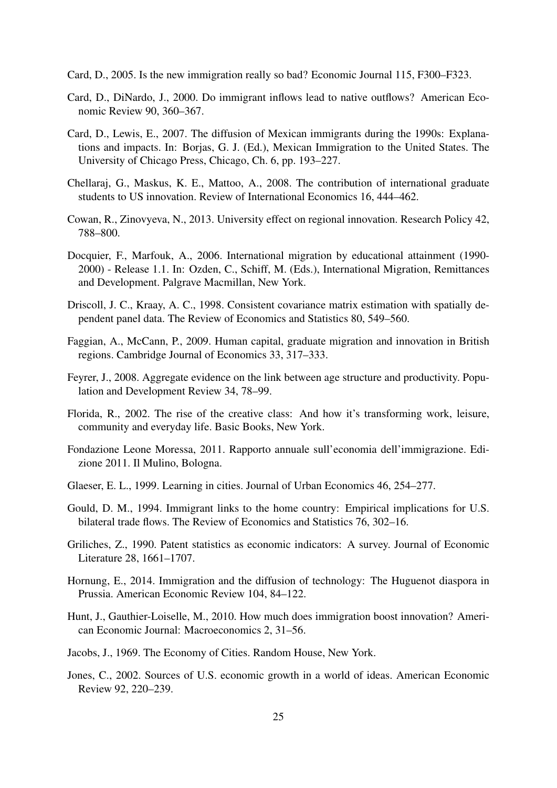<span id="page-26-0"></span>Card, D., 2005. Is the new immigration really so bad? Economic Journal 115, F300–F323.

- <span id="page-26-6"></span>Card, D., DiNardo, J., 2000. Do immigrant inflows lead to native outflows? American Economic Review 90, 360–367.
- <span id="page-26-16"></span>Card, D., Lewis, E., 2007. The diffusion of Mexican immigrants during the 1990s: Explanations and impacts. In: Borjas, G. J. (Ed.), Mexican Immigration to the United States. The University of Chicago Press, Chicago, Ch. 6, pp. 193–227.
- <span id="page-26-3"></span>Chellaraj, G., Maskus, K. E., Mattoo, A., 2008. The contribution of international graduate students to US innovation. Review of International Economics 16, 444–462.
- <span id="page-26-9"></span>Cowan, R., Zinovyeva, N., 2013. University effect on regional innovation. Research Policy 42, 788–800.
- <span id="page-26-5"></span>Docquier, F., Marfouk, A., 2006. International migration by educational attainment (1990- 2000) - Release 1.1. In: Ozden, C., Schiff, M. (Eds.), International Migration, Remittances and Development. Palgrave Macmillan, New York.
- <span id="page-26-17"></span>Driscoll, J. C., Kraay, A. C., 1998. Consistent covariance matrix estimation with spatially dependent panel data. The Review of Economics and Statistics 80, 549–560.
- <span id="page-26-8"></span>Faggian, A., McCann, P., 2009. Human capital, graduate migration and innovation in British regions. Cambridge Journal of Economics 33, 317–333.
- <span id="page-26-13"></span>Feyrer, J., 2008. Aggregate evidence on the link between age structure and productivity. Population and Development Review 34, 78–99.
- <span id="page-26-12"></span>Florida, R., 2002. The rise of the creative class: And how it's transforming work, leisure, community and everyday life. Basic Books, New York.
- <span id="page-26-14"></span>Fondazione Leone Moressa, 2011. Rapporto annuale sull'economia dell'immigrazione. Edizione 2011. Il Mulino, Bologna.
- <span id="page-26-7"></span>Glaeser, E. L., 1999. Learning in cities. Journal of Urban Economics 46, 254–277.
- <span id="page-26-1"></span>Gould, D. M., 1994. Immigrant links to the home country: Empirical implications for U.S. bilateral trade flows. The Review of Economics and Statistics 76, 302–16.
- <span id="page-26-15"></span>Griliches, Z., 1990. Patent statistics as economic indicators: A survey. Journal of Economic Literature 28, 1661–1707.
- <span id="page-26-11"></span>Hornung, E., 2014. Immigration and the diffusion of technology: The Huguenot diaspora in Prussia. American Economic Review 104, 84–122.
- <span id="page-26-4"></span>Hunt, J., Gauthier-Loiselle, M., 2010. How much does immigration boost innovation? American Economic Journal: Macroeconomics 2, 31–56.
- <span id="page-26-10"></span>Jacobs, J., 1969. The Economy of Cities. Random House, New York.
- <span id="page-26-2"></span>Jones, C., 2002. Sources of U.S. economic growth in a world of ideas. American Economic Review 92, 220–239.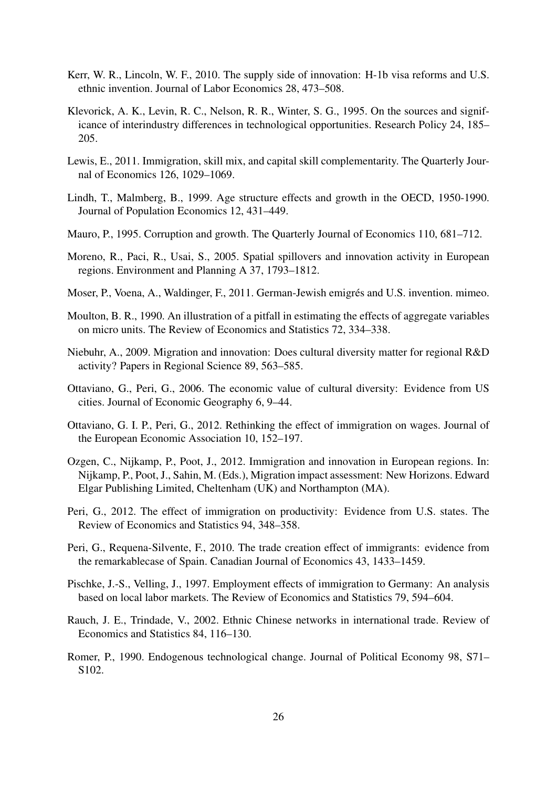- <span id="page-27-6"></span>Kerr, W. R., Lincoln, W. F., 2010. The supply side of innovation: H-1b visa reforms and U.S. ethnic invention. Journal of Labor Economics 28, 473–508.
- <span id="page-27-14"></span>Klevorick, A. K., Levin, R. C., Nelson, R. R., Winter, S. G., 1995. On the sources and significance of interindustry differences in technological opportunities. Research Policy 24, 185– 205.
- <span id="page-27-8"></span>Lewis, E., 2011. Immigration, skill mix, and capital skill complementarity. The Quarterly Journal of Economics 126, 1029–1069.
- <span id="page-27-9"></span>Lindh, T., Malmberg, B., 1999. Age structure effects and growth in the OECD, 1950-1990. Journal of Population Economics 12, 431–449.
- <span id="page-27-16"></span>Mauro, P., 1995. Corruption and growth. The Quarterly Journal of Economics 110, 681–712.
- <span id="page-27-12"></span>Moreno, R., Paci, R., Usai, S., 2005. Spatial spillovers and innovation activity in European regions. Environment and Planning A 37, 1793–1812.
- <span id="page-27-7"></span>Moser, P., Voena, A., Waldinger, F., 2011. German-Jewish emigrés and U.S. invention. mimeo.
- <span id="page-27-15"></span>Moulton, B. R., 1990. An illustration of a pitfall in estimating the effects of aggregate variables on micro units. The Review of Economics and Statistics 72, 334–338.
- <span id="page-27-11"></span>Niebuhr, A., 2009. Migration and innovation: Does cultural diversity matter for regional R&D activity? Papers in Regional Science 89, 563–585.
- <span id="page-27-13"></span>Ottaviano, G., Peri, G., 2006. The economic value of cultural diversity: Evidence from US cities. Journal of Economic Geography 6, 9–44.
- <span id="page-27-0"></span>Ottaviano, G. I. P., Peri, G., 2012. Rethinking the effect of immigration on wages. Journal of the European Economic Association 10, 152–197.
- <span id="page-27-10"></span>Ozgen, C., Nijkamp, P., Poot, J., 2012. Immigration and innovation in European regions. In: Nijkamp, P., Poot, J., Sahin, M. (Eds.), Migration impact assessment: New Horizons. Edward Elgar Publishing Limited, Cheltenham (UK) and Northampton (MA).
- <span id="page-27-2"></span>Peri, G., 2012. The effect of immigration on productivity: Evidence from U.S. states. The Review of Economics and Statistics 94, 348–358.
- <span id="page-27-4"></span>Peri, G., Requena-Silvente, F., 2010. The trade creation effect of immigrants: evidence from the remarkablecase of Spain. Canadian Journal of Economics 43, 1433–1459.
- <span id="page-27-1"></span>Pischke, J.-S., Velling, J., 1997. Employment effects of immigration to Germany: An analysis based on local labor markets. The Review of Economics and Statistics 79, 594–604.
- <span id="page-27-3"></span>Rauch, J. E., Trindade, V., 2002. Ethnic Chinese networks in international trade. Review of Economics and Statistics 84, 116–130.
- <span id="page-27-5"></span>Romer, P., 1990. Endogenous technological change. Journal of Political Economy 98, S71– S<sub>102</sub>.